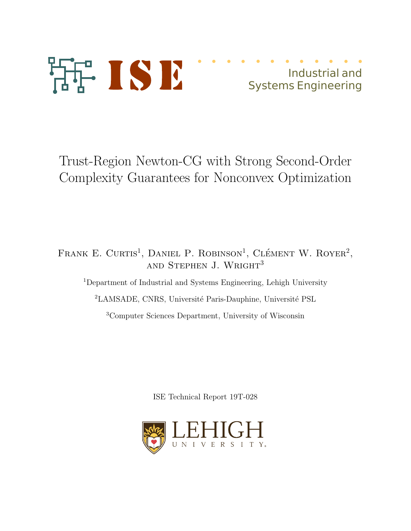

# Industrial and Systems Engineering

# Trust-Region Newton-CG with Strong Second-Order Complexity Guarantees for Nonconvex Optimization

FRANK E. CURTIS<sup>1</sup>, DANIEL P. ROBINSON<sup>1</sup>, CLÉMENT W. ROYER<sup>2</sup>, AND STEPHEN J. WRIGHT<sup>3</sup> <sup>1</sup>Department of Industrial and Systems Engineering, Lehigh University

<sup>2</sup>LAMSADE, CNRS, Université Paris-Dauphine, Université PSL

<sup>3</sup>Computer Sciences Department, University of Wisconsin

ISE Technical Report 19T-028

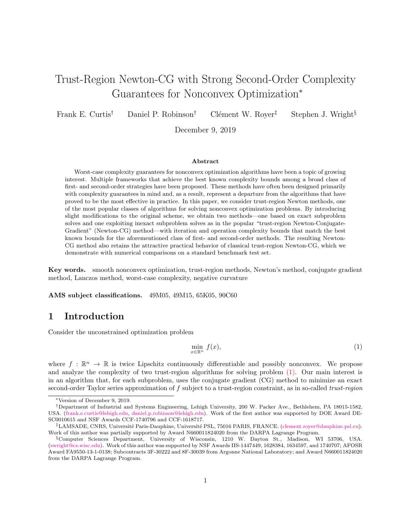# Trust-Region Newton-CG with Strong Second-Order Complexity Guarantees for Nonconvex Optimization<sup>∗</sup>

Frank E. Curtis<sup>†</sup> Daniel P. Robinson<sup>†</sup> Clément W. Royer<sup>‡</sup> Stephen J. Wright<sup>§</sup>

December 9, 2019

#### Abstract

Worst-case complexity guarantees for nonconvex optimization algorithms have been a topic of growing interest. Multiple frameworks that achieve the best known complexity bounds among a broad class of first- and second-order strategies have been proposed. These methods have often been designed primarily with complexity guarantees in mind and, as a result, represent a departure from the algorithms that have proved to be the most effective in practice. In this paper, we consider trust-region Newton methods, one of the most popular classes of algorithms for solving nonconvex optimization problems. By introducing slight modifications to the original scheme, we obtain two methods—one based on exact subproblem solves and one exploiting inexact subproblem solves as in the popular "trust-region Newton-Conjugate-Gradient" (Newton-CG) method—with iteration and operation complexity bounds that match the best known bounds for the aforementioned class of first- and second-order methods. The resulting Newton-CG method also retains the attractive practical behavior of classical trust-region Newton-CG, which we demonstrate with numerical comparisons on a standard benchmark test set.

Key words. smooth nonconvex optimization, trust-region methods, Newton's method, conjugate gradient method, Lanczos method, worst-case complexity, negative curvature

AMS subject classifications. 49M05, 49M15, 65K05, 90C60

# 1 Introduction

Consider the unconstrained optimization problem

$$
\min_{x \in \mathbb{R}^n} f(x),\tag{1}
$$

where  $f: \mathbb{R}^n \to \mathbb{R}$  is twice Lipschitz continuously differentiable and possibly nonconvex. We propose and analyze the complexity of two trust-region algorithms for solving problem (1). Our main interest is in an algorithm that, for each subproblem, uses the conjugate gradient (CG) method to minimize an exact second-order Taylor series approximation of f subject to a trust-region constraint, as in so-called trust-region

<sup>∗</sup>Version of December 9, 2019.

<sup>†</sup>Department of Industrial and Systems Engineering, Lehigh University, 200 W. Packer Ave., Bethlehem, PA 18015-1582, USA. (frank.e.curtis@lehigh.edu, daniel.p.robinson@lehigh.edu). Work of the first author was supported by DOE Award DE-SC0010615 and NSF Awards CCF-1740796 and CCF-1618717.

<sup>&</sup>lt;sup>‡</sup>LAMSADE, CNRS, Université Paris-Dauphine, Université PSL, 75016 PARIS, FRANCE. (clement.royer@dauphine.psl.eu). Work of this author was partially supported by Award N660011824020 from the DARPA Lagrange Program.

<sup>§</sup>Computer Sciences Department, University of Wisconsin, 1210 W. Dayton St., Madison, WI 53706, USA. (swright@cs.wisc.edu). Work of this author was supported by NSF Awards IIS-1447449, 1628384, 1634597, and 1740707; AFOSR Award FA9550-13-1-0138; Subcontracts 3F-30222 and 8F-30039 from Argonne National Laboratory; and Award N660011824020 from the DARPA Lagrange Program.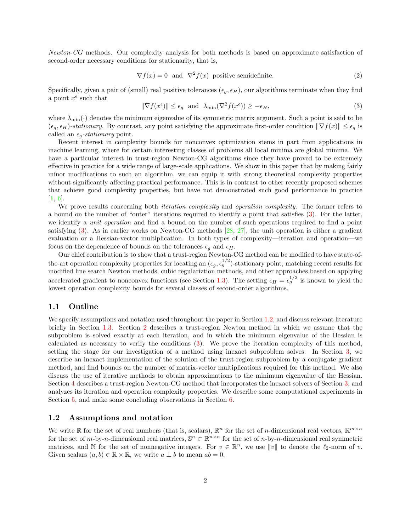Newton-CG methods. Our complexity analysis for both methods is based on approximate satisfaction of second-order necessary conditions for stationarity, that is,

$$
\nabla f(x) = 0 \text{ and } \nabla^2 f(x) \text{ positive semidefinite.} \tag{2}
$$

Specifically, given a pair of (small) real positive tolerances  $(\epsilon_q, \epsilon_H)$ , our algorithms terminate when they find a point  $x^{\epsilon}$  such that

$$
\|\nabla f(x^{\epsilon})\| \le \epsilon_g \quad \text{and} \quad \lambda_{\min}(\nabla^2 f(x^{\epsilon})) \ge -\epsilon_H,\tag{3}
$$

where  $\lambda_{\min}(\cdot)$  denotes the minimum eigenvalue of its symmetric matrix argument. Such a point is said to be  $(\epsilon_q, \epsilon_H)$ -stationary. By contrast, any point satisfying the approximate first-order condition  $\|\nabla f(x)\| \leq \epsilon_q$  is called an  $\epsilon_q$ -stationary point.

Recent interest in complexity bounds for nonconvex optimization stems in part from applications in machine learning, where for certain interesting classes of problems all local minima are global minima. We have a particular interest in trust-region Newton-CG algorithms since they have proved to be extremely effective in practice for a wide range of large-scale applications. We show in this paper that by making fairly minor modifications to such an algorithm, we can equip it with strong theoretical complexity properties without significantly affecting practical performance. This is in contrast to other recently proposed schemes that achieve good complexity properties, but have not demonstrated such good performance in practice [1, 6].

We prove results concerning both *iteration complexity* and *operation complexity*. The former refers to a bound on the number of "outer" iterations required to identify a point that satisfies (3). For the latter, we identify a unit operation and find a bound on the number of such operations required to find a point satisfying  $(3)$ . As in earlier works on Newton-CG methods  $[28, 27]$ , the unit operation is either a gradient evaluation or a Hessian-vector multiplication. In both types of complexity—iteration and operation—we focus on the dependence of bounds on the tolerances  $\epsilon_q$  and  $\epsilon_H$ .

Our chief contribution is to show that a trust-region Newton-CG method can be modified to have state-ofthe-art operation complexity properties for locating an  $(\epsilon_g, \epsilon_g^{1/2})$ -stationary point, matching recent results for modified line search Newton methods, cubic regulariztion methods, and other approaches based on applying accelerated gradient to nonconvex functions (see Section 1.3). The setting  $\epsilon_H = \epsilon_g^{1/2}$  is known to yield the lowest operation complexity bounds for several classes of second-order algorithms.

#### 1.1 Outline

We specify assumptions and notation used throughout the paper in Section 1.2, and discuss relevant literature briefly in Section 1.3. Section 2 describes a trust-region Newton method in which we assume that the subproblem is solved exactly at each iteration, and in which the minimum eigenvalue of the Hessian is calculated as necessary to verify the conditions (3). We prove the iteration complexity of this method, setting the stage for our investigation of a method using inexact subproblem solves. In Section 3, we describe an inexact implementation of the solution of the trust-region subproblem by a conjugate gradient method, and find bounds on the number of matrix-vector multiplications required for this method. We also discuss the use of iterative methods to obtain approximations to the minimum eigenvalue of the Hessian. Section 4 describes a trust-region Newton-CG method that incorporates the inexact solvers of Section 3, and analyzes its iteration and operation complexity properties. We describe some computational experiments in Section 5, and make some concluding observations in Section 6.

#### 1.2 Assumptions and notation

We write  $\mathbb R$  for the set of real numbers (that is, scalars),  $\mathbb R^n$  for the set of *n*-dimensional real vectors,  $\mathbb R^{m \times n}$ for the set of  $m$ -by-n-dimensional real matrices,  $\mathbb{S}^n \subset \mathbb{R}^{n \times n}$  for the set of n-by-n-dimensional real symmetric matrices, and N for the set of nonnegative integers. For  $v \in \mathbb{R}^n$ , we use  $||v||$  to denote the  $\ell_2$ -norm of v. Given scalars  $(a, b) \in \mathbb{R} \times \mathbb{R}$ , we write  $a \perp b$  to mean  $ab = 0$ .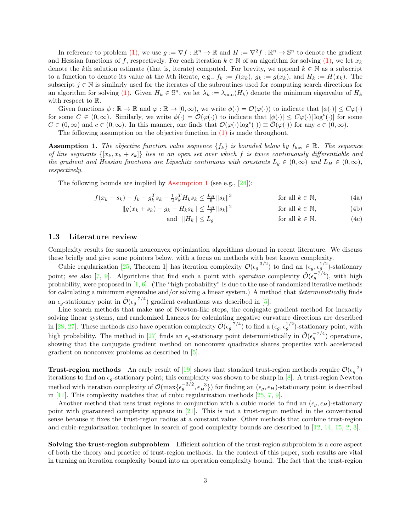In reference to problem (1), we use  $g := \nabla f : \mathbb{R}^n \to \mathbb{R}$  and  $H := \nabla^2 f : \mathbb{R}^n \to \mathbb{S}^n$  to denote the gradient and Hessian functions of f, respectively. For each iteration  $k \in \mathbb{N}$  of an algorithm for solving (1), we let  $x_k$ denote the kth solution estimate (that is, iterate) computed. For brevity, we append  $k \in \mathbb{N}$  as a subscript to a function to denote its value at the kth iterate, e.g.,  $f_k := f(x_k)$ ,  $g_k := g(x_k)$ , and  $H_k := H(x_k)$ . The subscript  $j \in \mathbb{N}$  is similarly used for the iterates of the subroutines used for computing search directions for an algorithm for solving (1). Given  $H_k \in \mathbb{S}^n$ , we let  $\lambda_k := \lambda_{\min}(H_k)$  denote the minimum eigenvalue of  $H_k$ with respect to R.

Given functions  $\phi : \mathbb{R} \to \mathbb{R}$  and  $\varphi : \mathbb{R} \to [0, \infty)$ , we write  $\phi(\cdot) = \mathcal{O}(\varphi(\cdot))$  to indicate that  $|\phi(\cdot)| \leq C\varphi(\cdot)$ for some  $C \in (0,\infty)$ . Similarly, we write  $\phi(\cdot) = \tilde{\mathcal{O}}(\varphi(\cdot))$  to indicate that  $|\phi(\cdot)| \leq C\varphi(\cdot)|\log^{c}(\cdot)|$  for some  $C \in (0, \infty)$  and  $c \in (0, \infty)$ . In this manner, one finds that  $\mathcal{O}(\varphi(\cdot) \log^c(\cdot)) \equiv \tilde{\mathcal{O}}(\varphi(\cdot))$  for any  $c \in (0, \infty)$ .

The following assumption on the objective function in  $(1)$  is made throughout.

**Assumption 1.** The objective function value sequence  $\{f_k\}$  is bounded below by  $f_{\text{low}} \in \mathbb{R}$ . The sequence of line segments  $\{[x_k, x_k + s_k]\}$  lies in an open set over which f is twice continuously differentiable and the gradient and Hessian functions are Lipschitz continuous with constants  $L_q \in (0,\infty)$  and  $L_H \in (0,\infty)$ , respectively.

The following bounds are implied by Assumption 1 (see e.g.,  $[24]$ ):

$$
f(x_k + s_k) - f_k - g_k^T s_k - \frac{1}{2} s_k^T H_k s_k \le \frac{L_H}{6} \|s_k\|^3 \qquad \text{for all } k \in \mathbb{N},
$$
 (4a)

$$
||g(x_k + s_k) - g_k - H_k s_k|| \le \frac{L_H}{2} ||s_k||^2
$$
 for all  $k \in \mathbb{N}$ , (4b)

and  $||H_k|| \le L_g$  for all  $k \in \mathbb{N}$ . (4c)

#### 1.3 Literature review

Complexity results for smooth nonconvex optimization algorithms abound in recent literature. We discuss these briefly and give some pointers below, with a focus on methods with best known complexity.

Cubic regularization [25, Theorem 1] has iteration complexity  $\mathcal{O}(\epsilon_g^{-3/2})$  to find an  $(\epsilon_g, \epsilon_g^{1/2})$ -stationary point; see also [7, 9]. Algorithms that find such a point with *operation* complexity  $\tilde{\mathcal{O}}(\epsilon_g^{-7/4})$ , with high probability, were proposed in  $[1, 6]$ . (The "high probability" is due to the use of randomized iterative methods for calculating a minimum eigenvalue and/or solving a linear system.) A method that *deterministically* finds an  $\epsilon_g$ -stationary point in  $\tilde{\mathcal{O}}(\epsilon_g^{-7/4})$  gradient evaluations was described in [5].

Line search methods that make use of Newton-like steps, the conjugate gradient method for inexactly solving linear systems, and randomized Lanczos for calculating negative curvature directions are described in [28, 27]. These methods also have operation complexity  $\tilde{\mathcal{O}}(\epsilon_g^{-7/4})$  to find a  $(\epsilon_g, \epsilon_g^{1/2})$ -stationary point, with high probability. The method in [27] finds an  $\epsilon_g$ -stationary point deterministically in  $\tilde{\mathcal{O}}(\epsilon_g^{-7/4})$  operations, showing that the conjugate gradient method on nonconvex quadratics shares properties with accelerated gradient on nonconvex problems as described in [5].

**Trust-region methods** An early result of [19] shows that standard trust-region methods require  $\mathcal{O}(\epsilon_g^{-2})$ iterations to find an  $\epsilon_g$ -stationary point; this complexity was shown to be sharp in [8]. A trust-region Newton method with iteration complexity of  $\mathcal{O}(\max{\{\epsilon_g^{-3/2}, \epsilon_H^{-3}\}})$  for finding an  $(\epsilon_g, \epsilon_H)$ -stationary point is described in  $[11]$ . This complexity matches that of cubic regularization methods  $[25, 7, 9]$ .

Another method that uses trust regions in conjunction with a cubic model to find an  $(\epsilon_g, \epsilon_H)$ -stationary point with guaranteed complexity appears in [21]. This is not a trust-region method in the conventional sense because it fixes the trust-region radius at a constant value. Other methods that combine trust-region and cubic-regularization techniques in search of good complexity bounds are described in [12, 14, 15, 2, 3].

Solving the trust-region subproblem Efficient solution of the trust-region subproblem is a core aspect of both the theory and practice of trust-region methods. In the context of this paper, such results are vital in turning an iteration complexity bound into an operation complexity bound. The fact that the trust-region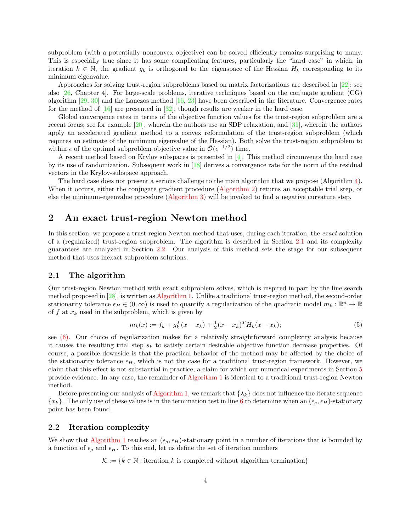subproblem (with a potentially nonconvex objective) can be solved efficiently remains surprising to many. This is especially true since it has some complicating features, particularly the "hard case" in which, in iteration  $k \in \mathbb{N}$ , the gradient  $g_k$  is orthogonal to the eigenspace of the Hessian  $H_k$  corresponding to its minimum eigenvalue.

Approaches for solving trust-region subproblems based on matrix factorizations are described in  $[22]$ ; see also [26, Chapter 4]. For large-scale problems, iterative techniques based on the conjugate gradient (CG) algorithm  $[29, 30]$  and the Lanczos method  $[16, 23]$  have been described in the literature. Convergence rates for the method of  $[16]$  are presented in  $[32]$ , though results are weaker in the hard case.

Global convergence rates in terms of the objective function values for the trust-region subproblem are a recent focus; see for example [20], wherein the authors use an SDP relaxation, and [31], wherein the authors apply an accelerated gradient method to a convex reformulation of the trust-region subproblem (which requires an estimate of the minimum eigenvalue of the Hessian). Both solve the trust-region subproblem to within  $\epsilon$  of the optimal subproblem objective value in  $\tilde{\mathcal{O}}(\epsilon^{-1/2})$  time.

A recent method based on Krylov subspaces is presented in  $[4]$ . This method circumvents the hard case by its use of randomization. Subsequent work in [18] derives a convergence rate for the norm of the residual vectors in the Krylov-subspace approach.

The hard case does not present a serious challenge to the main algorithm that we propose (Algorithm 4). When it occurs, either the conjugate gradient procedure (Algorithm 2) returns an acceptable trial step, or else the minimum-eigenvalue procedure (Algorithm 3) will be invoked to find a negative curvature step.

## 2 An exact trust-region Newton method

In this section, we propose a trust-region Newton method that uses, during each iteration, the exact solution of a (regularized) trust-region subproblem. The algorithm is described in Section 2.1 and its complexity guarantees are analyzed in Section 2.2. Our analysis of this method sets the stage for our subsequent method that uses inexact subproblem solutions.

#### 2.1 The algorithm

Our trust-region Newton method with exact subproblem solves, which is inspired in part by the line search method proposed in [28], is written as Algorithm 1. Unlike a traditional trust-region method, the second-order stationarity tolerance  $\epsilon_H \in (0,\infty)$  is used to quantify a regularization of the quadratic model  $m_k : \mathbb{R}^n \to \mathbb{R}$ of f at  $x_k$  used in the subproblem, which is given by

$$
m_k(x) := f_k + g_k^T (x - x_k) + \frac{1}{2} (x - x_k)^T H_k (x - x_k); \tag{5}
$$

see (6). Our choice of regularization makes for a relatively straightforward complexity analysis because it causes the resulting trial step  $s_k$  to satisfy certain desirable objective function decrease properties. Of course, a possible downside is that the practical behavior of the method may be affected by the choice of the stationarity tolerance  $\epsilon_H$ , which is not the case for a traditional trust-region framework. However, we claim that this effect is not substantial in practice, a claim for which our numerical experiments in Section 5 provide evidence. In any case, the remainder of Algorithm 1 is identical to a traditional trust-region Newton method.

Before presenting our analysis of Algorithm 1, we remark that  $\{\lambda_k\}$  does not influence the iterate sequence  ${x_k}$ . The only use of these values is in the termination test in line 6 to determine when an  $(\epsilon_g, \epsilon_H)$ -stationary point has been found.

#### 2.2 Iteration complexity

We show that Algorithm 1 reaches an  $(\epsilon_q, \epsilon_H)$ -stationary point in a number of iterations that is bounded by a function of  $\epsilon_q$  and  $\epsilon_H$ . To this end, let us define the set of iteration numbers

 $\mathcal{K} := \{k \in \mathbb{N} : \text{iteration } k \text{ is completed without algorithm termination}\}\$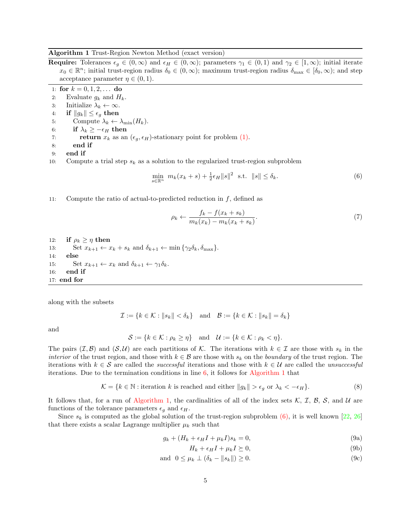#### Algorithm 1 Trust-Region Newton Method (exact version)

**Require:** Tolerances  $\epsilon_g \in (0,\infty)$  and  $\epsilon_H \in (0,\infty)$ ; parameters  $\gamma_1 \in (0,1)$  and  $\gamma_2 \in [1,\infty)$ ; initial iterate  $x_0 \in \mathbb{R}^n$ ; initial trust-region radius  $\delta_0 \in (0,\infty)$ ; maximum trust-region radius  $\delta_{\max} \in [\delta_0,\infty)$ ; and step acceptance parameter  $\eta \in (0,1)$ .

1: for  $k = 0, 1, 2, \ldots$  do

- 2: Evaluate  $g_k$  and  $H_k$ .
- 3: Initialize  $\lambda_k \leftarrow \infty$ .<br>4: if  $||q_k|| \leq \epsilon_a$  then
- 4: **if**  $||g_k|| \leq \epsilon_g$  **then**<br>5: Compute  $\lambda_k \leftarrow$
- 5: Compute  $\lambda_k \leftarrow \lambda_{\min}(H_k)$ .<br>6: **if**  $\lambda_k > -\epsilon_H$  **then**
- 6: **if**  $\lambda_k \ge -\epsilon_H$  then<br>7: **return**  $x_k$  as an
- return  $x_k$  as an  $(\epsilon_q, \epsilon_H)$ -stationary point for problem (1).
- 8: end if
- 9: end if
- 10: Compute a trial step  $s_k$  as a solution to the regularized trust-region subproblem

$$
\min_{s \in \mathbb{R}^n} \ m_k(x_k + s) + \frac{1}{2}\epsilon_H ||s||^2 \ \text{ s.t. } ||s|| \le \delta_k. \tag{6}
$$

11: Compute the ratio of actual-to-predicted reduction in  $f$ , defined as

$$
\rho_k \leftarrow \frac{f_k - f(x_k + s_k)}{m_k(x_k) - m_k(x_k + s_k)}.\tag{7}
$$

12: **if**  $\rho_k \geq \eta$  then<br>13: Set  $x_{k+1} \leftarrow x$ 13: Set  $x_{k+1} \leftarrow x_k + s_k$  and  $\delta_{k+1} \leftarrow \min{\{\gamma_2 \delta_k, \delta_{\max}\}}$ .<br>14: **else** else 15: Set  $x_{k+1} \leftarrow x_k$  and  $\delta_{k+1} \leftarrow \gamma_1 \delta_k$ .<br>16: **end if** end if 17: end for

along with the subsets

$$
\mathcal{I} := \{ k \in \mathcal{K} : ||s_k|| < \delta_k \} \quad \text{and} \quad \mathcal{B} := \{ k \in \mathcal{K} : ||s_k|| = \delta_k \}
$$

and

$$
\mathcal{S} := \{k \in \mathcal{K} : \rho_k \ge \eta\} \quad \text{and} \quad \mathcal{U} := \{k \in \mathcal{K} : \rho_k < \eta\}.
$$

The pairs  $(\mathcal{I}, \mathcal{B})$  and  $(\mathcal{S}, \mathcal{U})$  are each partitions of K. The iterations with  $k \in \mathcal{I}$  are those with  $s_k$  in the *interior* of the trust region, and those with  $k \in \mathcal{B}$  are those with  $s_k$  on the *boundary* of the trust region. The iterations with  $k \in S$  are called the *successful* iterations and those with  $k \in U$  are called the *unsuccessful* iterations. Due to the termination conditions in line 6, it follows for Algorithm 1 that

$$
\mathcal{K} = \{k \in \mathbb{N} : \text{iteration } k \text{ is reached and either } \|g_k\| > \epsilon_g \text{ or } \lambda_k < -\epsilon_H\}. \tag{8}
$$

It follows that, for a run of Algorithm 1, the cardinalities of all of the index sets  $\mathcal{K}, \mathcal{I}, \mathcal{B}, \mathcal{S},$  and  $\mathcal{U}$  are functions of the tolerance parameters  $\epsilon_q$  and  $\epsilon_H$ .

Since  $s_k$  is computed as the global solution of the trust-region subproblem (6), it is well known [22, 26] that there exists a scalar Lagrange multiplier  $\mu_k$  such that

$$
g_k + (H_k + \epsilon_H I + \mu_k I)s_k = 0,\t\t(9a)
$$

$$
H_k + \epsilon_H I + \mu_k I \succeq 0,\tag{9b}
$$

$$
\text{and } 0 \le \mu_k \perp (\delta_k - ||s_k||) \ge 0. \tag{9c}
$$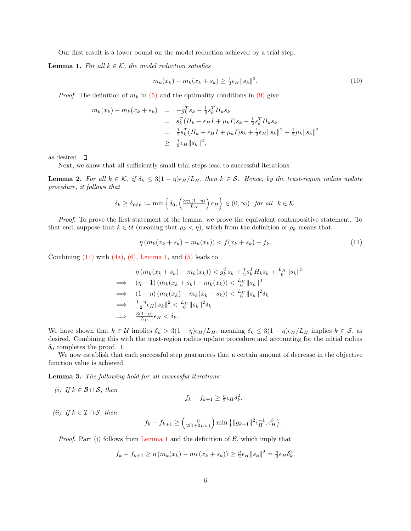Our first result is a lower bound on the model reduction achieved by a trial step.

**Lemma 1.** For all  $k \in \mathcal{K}$ , the model reduction satisfies

$$
m_k(x_k) - m_k(x_k + s_k) \ge \frac{1}{2}\epsilon_H \|s_k\|^2. \tag{10}
$$

*Proof.* The definition of  $m_k$  in (5) and the optimality conditions in (9) give

$$
m_k(x_k) - m_k(x_k + s_k) = -g_k^T s_k - \frac{1}{2} s_k^T H_k s_k
$$
  
\n
$$
= s_k^T (H_k + \epsilon_H I + \mu_k I) s_k - \frac{1}{2} s_k^T H_k s_k
$$
  
\n
$$
= \frac{1}{2} s_k^T (H_k + \epsilon_H I + \mu_k I) s_k + \frac{1}{2} \epsilon_H ||s_k||^2 + \frac{1}{2} \mu_k ||s_k||^2
$$
  
\n
$$
\geq \frac{1}{2} \epsilon_H ||s_k||^2,
$$

as desired.  $\square$ 

Next, we show that all sufficiently small trial steps lead to successful iterations.

**Lemma 2.** For all  $k \in \mathcal{K}$ , if  $\delta_k \leq 3(1 - \eta)\epsilon_H/L_H$ , then  $k \in \mathcal{S}$ . Hence, by the trust-region radius update procedure, it follows that

$$
\delta_k \ge \delta_{\min} := \min\left\{\delta_0, \left(\frac{3\gamma_1(1-\eta)}{L_H}\right)\epsilon_H\right\} \in (0,\infty) \text{ for all } k \in \mathcal{K}.
$$

Proof. To prove the first statement of the lemma, we prove the equivalent contrapositive statement. To that end, suppose that  $k \in \mathcal{U}$  (meaning that  $\rho_k < \eta$ ), which from the definition of  $\rho_k$  means that

$$
\eta(m_k(x_k + s_k) - m_k(x_k)) < f(x_k + s_k) - f_k. \tag{11}
$$

Combining  $(11)$  with  $(4a)$ ,  $(6)$ , Lemma 1, and  $(5)$  leads to

$$
\eta \left( m_k(x_k + s_k) - m_k(x_k) \right) < g_k^T s_k + \frac{1}{2} s_k^T H_k s_k + \frac{L_H}{6} \| s_k \|^3
$$
\n
$$
\implies \left( \eta - 1 \right) \left( m_k(x_k + s_k) - m_k(x_k) \right) < \frac{L_H}{6} \| s_k \|^3
$$
\n
$$
\implies \left( 1 - \eta \right) \left( m_k(x_k) - m_k(x_k + s_k) \right) < \frac{L_H}{6} \| s_k \|^2 \delta_k
$$
\n
$$
\implies \frac{1 - \eta}{2} \epsilon_H \| s_k \|^2 < \frac{L_H}{6} \| s_k \|^2 \delta_k
$$
\n
$$
\implies \frac{3(1 - \eta)}{L_H} \epsilon_H < \delta_k.
$$

We have shown that  $k \in \mathcal{U}$  implies  $\delta_k > 3(1 - \eta)\epsilon_H/L_H$ , meaning  $\delta_k \leq 3(1 - \eta)\epsilon_H/L_H$  implies  $k \in \mathcal{S}$ , as desired. Combining this with the trust-region radius update procedure and accounting for the initial radius  $\delta_0$  completes the proof.  $\Box$ 

We now establish that each successful step guarantees that a certain amount of decrease in the objective function value is achieved.

Lemma 3. The following hold for all successful iterations:

(i) If  $k \in \mathcal{B} \cap \mathcal{S}$ , then

$$
f_k - f_{k+1} \ge \frac{\eta}{2} \epsilon_H \delta_k^2.
$$

(ii) If  $k \in \mathcal{I} \cap \mathcal{S}$ , then

$$
f_k - f_{k+1} \ge \left(\frac{\eta}{2(1+2L_H)}\right) \min\left\{\|g_{k+1}\|^2 \epsilon_H^{-1}, \epsilon_H^3\right\}.
$$

*Proof.* Part (i) follows from Lemma 1 and the definition of  $\mathcal{B}$ , which imply that

$$
f_k - f_{k+1} \ge \eta \left( m_k(x_k) - m_k(x_k + s_k) \right) \ge \frac{\eta}{2} \epsilon_H \|s_k\|^2 = \frac{\eta}{2} \epsilon_H \delta_k^2.
$$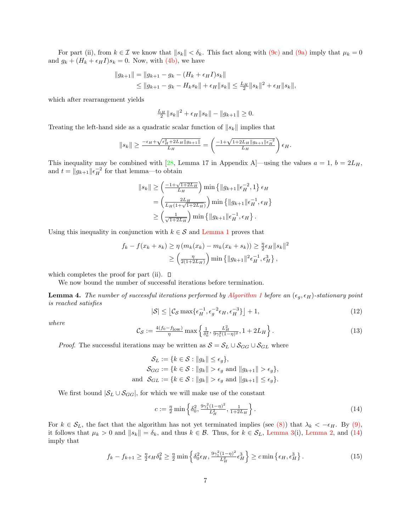For part (ii), from  $k \in \mathcal{I}$  we know that  $||s_k|| < \delta_k$ . This fact along with (9c) and (9a) imply that  $\mu_k = 0$ and  $g_k + (H_k + \epsilon_H I)s_k = 0$ . Now, with (4b), we have

$$
||g_{k+1}|| = ||g_{k+1} - g_k - (H_k + \epsilon_H I)s_k||
$$
  
\n
$$
\le ||g_{k+1} - g_k - H_k s_k|| + \epsilon_H ||s_k|| \le \frac{L_H}{2} ||s_k||^2 + \epsilon_H ||s_k||,
$$

which after rearrangement yields

$$
\frac{L_H}{2}||s_k||^2 + \epsilon_H||s_k|| - ||g_{k+1}|| \ge 0.
$$

Treating the left-hand side as a quadratic scalar function of  $||s_k||$  implies that

$$
||s_k|| \ge \frac{-\epsilon_H + \sqrt{\epsilon_H^2 + 2L_H ||g_{k+1}||}}{L_H} = \left(\frac{-1 + \sqrt{1 + 2L_H ||g_{k+1}||\epsilon_H^{-2}}}{L_H}\right)\epsilon_H.
$$

This inequality may be combined with [28, Lemma 17 in Appendix A]—using the values  $a = 1$ ,  $b = 2L_H$ , and  $t = ||g_{k+1}|| \epsilon_H^{-2}$  for that lemma—to obtain

$$
||s_k|| \ge \left(\frac{-1+\sqrt{1+2L_H}}{L_H}\right) \min\left\{||g_{k+1}||\epsilon_H^{-2}, 1\right\} \epsilon_H
$$
  
= 
$$
\left(\frac{2L_H}{L_H(1+\sqrt{1+2L_H})}\right) \min\left\{||g_{k+1}||\epsilon_H^{-1}, \epsilon_H\right\}
$$
  

$$
\ge \left(\frac{1}{\sqrt{1+2L_H}}\right) \min\left\{||g_{k+1}||\epsilon_H^{-1}, \epsilon_H\right\}.
$$

Using this inequality in conjunction with  $k \in \mathcal{S}$  and Lemma 1 proves that

$$
f_k - f(x_k + s_k) \ge \eta \left( m_k(x_k) - m_k(x_k + s_k) \right) \ge \frac{\eta}{2} \epsilon_H ||s_k||^2
$$
  
 
$$
\ge \left( \frac{\eta}{2(1 + 2L_H)} \right) \min \left\{ ||g_{k+1}||^2 \epsilon_H^{-1}, \epsilon_H^3 \right\},
$$

which completes the proof for part (ii).  $\Box$ 

We now bound the number of successful iterations before termination.

**Lemma 4.** The number of successful iterations performed by Algorithm 1 before an  $(\epsilon_g, \epsilon_H)$ -stationary point is reached satisfies

$$
|\mathcal{S}| \leq \left[ \mathcal{C}_{\mathcal{S}} \max \{ \epsilon_H^{-1}, \epsilon_g^{-2} \epsilon_H, \epsilon_H^{-3} \} \right] + 1,\tag{12}
$$

where

$$
\mathcal{C}_{\mathcal{S}} := \frac{4(f_0 - f_{\text{low}})}{\eta} \max \left\{ \frac{1}{\delta_0^2}, \frac{L_H^2}{9\gamma_1^2 (1 - \eta)^2}, 1 + 2L_H \right\}.
$$
 (13)

*Proof.* The successful iterations may be written as  $S = S_L \cup S_{GG} \cup S_{GL}$  where

$$
\mathcal{S}_L := \{ k \in \mathcal{S} : ||g_k|| \le \epsilon_g \},
$$
  
\n
$$
\mathcal{S}_{GG} := \{ k \in \mathcal{S} : ||g_k|| > \epsilon_g \text{ and } ||g_{k+1}|| > \epsilon_g \},
$$
  
\nand 
$$
\mathcal{S}_{GL} := \{ k \in \mathcal{S} : ||g_k|| > \epsilon_g \text{ and } ||g_{k+1}|| \le \epsilon_g \}.
$$

We first bound  $|S_L \cup S_{GG}|$ , for which we will make use of the constant

$$
c := \frac{\eta}{2} \min \left\{ \delta_0^2, \frac{9\gamma_1^2 (1-\eta)^2}{L_H^2}, \frac{1}{1+2L_H} \right\}.
$$
 (14)

For  $k \in S_L$ , the fact that the algorithm has not yet terminated implies (see (8)) that  $\lambda_k < -\epsilon_H$ . By (9), it follows that  $\mu_k > 0$  and  $||s_k|| = \delta_k$ , and thus  $k \in \mathcal{B}$ . Thus, for  $k \in \mathcal{S}_L$ , Lemma 3(i), Lemma 2, and (14) imply that

$$
f_k - f_{k+1} \ge \frac{\eta}{2} \epsilon_H \delta_k^2 \ge \frac{\eta}{2} \min \left\{ \delta_0^2 \epsilon_H, \frac{9\gamma_1^2 (1-\eta)^2}{L_H^2} \epsilon_H^3 \right\} \ge c \min \left\{ \epsilon_H, \epsilon_H^3 \right\}.
$$
 (15)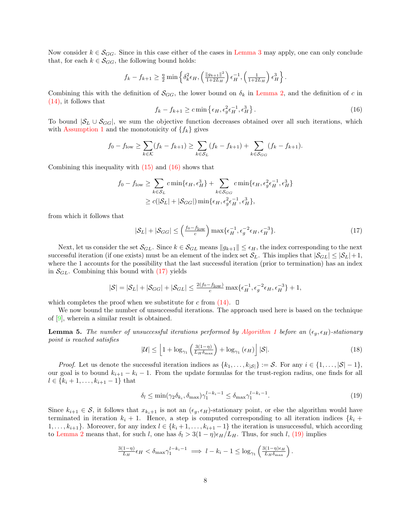Now consider  $k \in \mathcal{S}_{GG}$ . Since in this case either of the cases in Lemma 3 may apply, one can only conclude that, for each  $k \in S_{GG}$ , the following bound holds:

$$
f_k - f_{k+1} \ge \frac{\eta}{2} \min \left\{ \delta_k^2 \epsilon_H, \left( \frac{\|g_{k+1}\|^2}{1+2L_H} \right) \epsilon_H^{-1}, \left( \frac{1}{1+2L_H} \right) \epsilon_H^3 \right\}.
$$

Combining this with the definition of  $\mathcal{S}_{GG}$ , the lower bound on  $\delta_k$  in Lemma 2, and the definition of c in (14), it follows that

$$
f_k - f_{k+1} \ge c \min \left\{ \epsilon_H, \epsilon_g^2 \epsilon_H^{-1}, \epsilon_H^3 \right\}.
$$
 (16)

To bound  $|\mathcal{S}_L \cup \mathcal{S}_{GG}|$ , we sum the objective function decreases obtained over all such iterations, which with Assumption 1 and the monotonicity of  $\{f_k\}$  gives

$$
f_0 - f_{low} \ge \sum_{k \in \mathcal{K}} (f_k - f_{k+1}) \ge \sum_{k \in \mathcal{S}_L} (f_k - f_{k+1}) + \sum_{k \in \mathcal{S}_{GG}} (f_k - f_{k+1}).
$$

Combining this inequality with  $(15)$  and  $(16)$  shows that

$$
f_0 - f_{\text{low}} \ge \sum_{k \in S_L} c \min\{\epsilon_H, \epsilon_H^3\} + \sum_{k \in S_{GG}} c \min\{\epsilon_H, \epsilon_g^2 \epsilon_H^{-1}, \epsilon_H^3\}
$$
  

$$
\ge c(|S_L| + |S_{GG}|) \min\{\epsilon_H, \epsilon_g^2 \epsilon_H^{-1}, \epsilon_H^3\},
$$

from which it follows that

$$
|\mathcal{S}_L| + |\mathcal{S}_{GG}| \le \left(\frac{f_0 - f_{\text{low}}}{c}\right) \max\{\epsilon_H^{-1}, \epsilon_g^{-2} \epsilon_H, \epsilon_H^{-3}\}.
$$
 (17)

Next, let us consider the set  $\mathcal{S}_{GL}$ . Since  $k \in \mathcal{S}_{GL}$  means  $||g_{k+1}|| \leq \epsilon_H$ , the index corresponding to the next successful iteration (if one exists) must be an element of the index set  $S_L$ . This implies that  $|S_{GL}| \leq |S_L| + 1$ , where the 1 accounts for the possibility that the last successful iteration (prior to termination) has an index in  $\mathcal{S}_{GL}$ . Combining this bound with (17) yields

$$
|\mathcal{S}| = |\mathcal{S}_L| + |\mathcal{S}_{GG}| + |\mathcal{S}_{GL}| \le \frac{2(f_0 - f_{\text{low}})}{c} \max\{\epsilon_H^{-1}, \epsilon_g^{-2}\epsilon_H, \epsilon_H^{-3}\} + 1,
$$

which completes the proof when we substitute for c from  $(14)$ .  $\Box$ 

We now bound the number of unsuccessful iterations. The approach used here is based on the technique of [9], wherein a similar result is obtained.

**Lemma 5.** The number of unsuccessful iterations performed by Algorithm 1 before an  $(\epsilon_q, \epsilon_H)$ -stationary point is reached satisfies

$$
|\mathcal{U}| \le \left[1 + \log_{\gamma_1} \left(\frac{3(1-\eta)}{L_H \delta_{\text{max}}}\right) + \log_{\gamma_1} \left(\epsilon_H\right)\right] |\mathcal{S}|.
$$
\n(18)

*Proof.* Let us denote the successful iteration indices as  $\{k_1, \ldots, k_{|\mathcal{S}|}\} := \mathcal{S}$ . For any  $i \in \{1, \ldots, |\mathcal{S}|-1\}$ , our goal is to bound  $k_{i+1} - k_i - 1$ . From the update formulas for the trust-region radius, one finds for all  $l \in \{k_i + 1, \ldots, k_{i+1} - 1\}$  that

$$
\delta_l \le \min(\gamma_2 \delta_{k_i}, \delta_{\max}) \gamma_1^{l-k_i-1} \le \delta_{\max} \gamma_1^{l-k_i-1}.
$$
\n(19)

Since  $k_{i+1} \in S$ , it follows that  $x_{k_i+1}$  is not an  $(\epsilon_g, \epsilon_H)$ -stationary point, or else the algorithm would have terminated in iteration  $k_i + 1$ . Hence, a step is computed corresponding to all iteration indices  $\{k_i +$  $1, \ldots, k_{i+1}$ . Moreover, for any index  $l \in \{k_i+1, \ldots, k_{i+1}-1\}$  the iteration is unsuccessful, which according to Lemma 2 means that, for such l, one has  $\delta_l > 3(1 - \eta)\epsilon_H/L_H$ . Thus, for such l, (19) implies

$$
\frac{3(1-\eta)}{L_H} \epsilon_H < \delta_{\max} \gamma_1^{l-k_i-1} \implies l-k_i-1 \leq \log_{\gamma_1} \left( \frac{3(1-\eta)\epsilon_H}{L_H \delta_{\max}} \right).
$$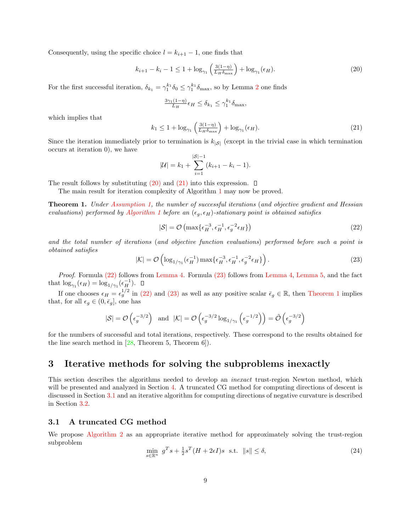Consequently, using the specific choice  $l = k_{i+1} - 1$ , one finds that

$$
k_{i+1} - k_i - 1 \le 1 + \log_{\gamma_1} \left( \frac{3(1-\eta)}{L_H \delta_{\text{max}}} \right) + \log_{\gamma_1} (\epsilon_H). \tag{20}
$$

For the first successful iteration,  $\delta_{k_1} = \gamma_1^{k_1} \delta_0 \leq \gamma_1^{k_1} \delta_{\max}$ , so by Lemma 2 one finds

$$
\frac{3\gamma_1(1-\eta)}{L_H} \epsilon_H \le \delta_{k_1} \le \gamma_1^{k_1} \delta_{\max},
$$

which implies that

$$
k_1 \le 1 + \log_{\gamma_1} \left( \frac{3(1-\eta)}{L_H \delta_{\text{max}}} \right) + \log_{\gamma_1} (\epsilon_H). \tag{21}
$$

Since the iteration immediately prior to termination is  $k_{\vert S\vert}$  (except in the trivial case in which termination occurs at iteration 0), we have

$$
|\mathcal{U}| = k_1 + \sum_{i=1}^{|\mathcal{S}|-1} (k_{i+1} - k_i - 1).
$$

The result follows by substituting  $(20)$  and  $(21)$  into this expression.  $\Box$ 

The main result for iteration complexity of Algorithm 1 may now be proved.

**Theorem 1.** Under Assumption 1, the number of successful iterations (and objective gradient and Hessian evaluations) performed by Algorithm 1 before an  $(\epsilon_q, \epsilon_H)$ -stationary point is obtained satisfies

$$
|\mathcal{S}| = \mathcal{O}\left(\max\{\epsilon_H^{-3}, \epsilon_H^{-1}, \epsilon_g^{-2}\epsilon_H\}\right)
$$
\n(22)

and the total number of iterations (and objective function evaluations) performed before such a point is obtained satisfies

$$
|\mathcal{K}| = \mathcal{O}\left(\log_{1/\gamma_1}(\epsilon_H^{-1}) \max\{\epsilon_H^{-3}, \epsilon_H^{-1}, \epsilon_g^{-2}\epsilon_H\}\right). \tag{23}
$$

Proof. Formula (22) follows from Lemma 4. Formula (23) follows from Lemma 4, Lemma 5, and the fact that  $\log_{\gamma_1}(\epsilon_H) = \log_{1/\gamma_1}(\epsilon_H^{-1}).$ 

If one chooses  $\epsilon_H = \epsilon_g^{1/2}$  in (22) and (23) as well as any positive scalar  $\bar{\epsilon}_g \in \mathbb{R}$ , then Theorem 1 implies that, for all  $\epsilon_g \in (0, \bar{\epsilon}_g]$ , one has

$$
|\mathcal{S}| = \mathcal{O}\left(\epsilon_g^{-3/2}\right) \text{ and } |\mathcal{K}| = \mathcal{O}\left(\epsilon_g^{-3/2} \log_{1/\gamma_1}\left(\epsilon_g^{-1/2}\right)\right) = \tilde{\mathcal{O}}\left(\epsilon_g^{-3/2}\right)
$$

for the numbers of successful and total iterations, respectively. These correspond to the results obtained for the line search method in [28, Theorem 5, Theorem 6]).

# 3 Iterative methods for solving the subproblems inexactly

This section describes the algorithms needed to develop an inexact trust-region Newton method, which will be presented and analyzed in Section 4. A truncated CG method for computing directions of descent is discussed in Section 3.1 and an iterative algorithm for computing directions of negative curvature is described in Section 3.2.

#### 3.1 A truncated CG method

We propose Algorithm 2 as an appropriate iterative method for approximately solving the trust-region subproblem

$$
\min_{s \in \mathbb{R}^n} g^T s + \frac{1}{2} s^T (H + 2\epsilon I) s \text{ s.t. } \|s\| \le \delta,
$$
\n(24)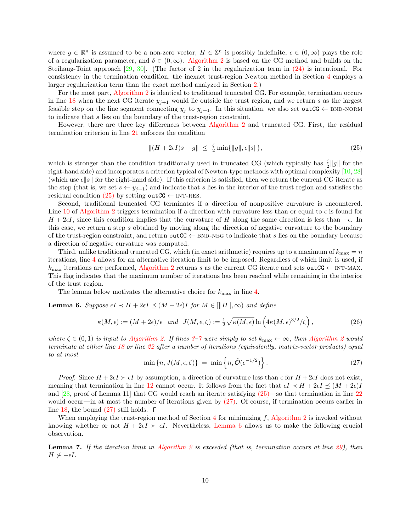where  $g \in \mathbb{R}^n$  is assumed to be a non-zero vector,  $H \in \mathbb{S}^n$  is possibly indefinite,  $\epsilon \in (0, \infty)$  plays the role of a regularization parameter, and  $\delta \in (0,\infty)$ . Algorithm 2 is based on the CG method and builds on the Steihaug-Toint approach [29, 30]. (The factor of 2 in the regularization term in (24) is intentional. For consistency in the termination condition, the inexact trust-region Newton method in Section 4 employs a larger regularization term than the exact method analyzed in Section 2.)

For the most part, Algorithm 2 is identical to traditional truncated CG. For example, termination occurs in line 18 when the next CG iterate  $y_{j+1}$  would lie outside the trust region, and we return s as the largest feasible step on the line segment connecting  $y_j$  to  $y_{j+1}$ . In this situation, we also set outCG  $\leftarrow$  BND-NORM to indicate that s lies on the boundary of the trust-region constraint.

However, there are three key differences between Algorithm 2 and truncated CG. First, the residual termination criterion in line 21 enforces the condition

$$
||(H + 2\epsilon I)s + g|| \le \frac{\zeta}{2} \min\{||g||, \epsilon ||s||\},\tag{25}
$$

which is stronger than the condition traditionally used in truncated CG (which typically has  $\frac{2}{2}||g||$  for the right-hand side) and incorporates a criterion typical of Newton-type methods with optimal complexity [10, 28] (which use  $\epsilon \|s\|$  for the right-hand side). If this criterion is satisfied, then we return the current CG iterate as the step (that is, we set  $s \leftarrow y_{j+1}$ ) and indicate that s lies in the interior of the trust region and satisfies the residual condition  $(25)$  by setting outCG  $\leftarrow$  INT-RES.

Second, traditional truncated CG terminates if a direction of nonpositive curvature is encountered. Line 10 of Algorithm 2 triggers termination if a direction with curvature less than or equal to  $\epsilon$  is found for  $H + 2\epsilon I$ , since this condition implies that the curvature of H along the same direction is less than  $-\epsilon$ . In this case, we return a step s obtained by moving along the direction of negative curvature to the boundary of the trust-region constraint, and return outCG  $\leftarrow$  BND-NEG to indicate that s lies on the boundary because a direction of negative curvature was computed.

Third, unlike traditional truncated CG, which (in exact arithmetic) requires up to a maximum of  $k_{\text{max}} = n$ iterations, line 4 allows for an alternative iteration limit to be imposed. Regardless of which limit is used, if  $k_{\text{max}}$  iterations are performed, Algorithm 2 returns s as the current CG iterate and sets outCG  $\leftarrow$  INT-MAX. This flag indicates that the maximum number of iterations has been reached while remaining in the interior of the trust region.

The lemma below motivates the alternative choice for  $k_{\text{max}}$  in line 4.

**Lemma 6.** Suppose  $\epsilon I \prec H + 2\epsilon I \preceq (M + 2\epsilon)I$  for  $M \in ||H||, \infty$  and define

$$
\kappa(M,\epsilon) := (M+2\epsilon)/\epsilon \quad \text{and} \quad J(M,\epsilon,\zeta) := \frac{1}{2}\sqrt{\kappa(M,\epsilon)}\ln\left(4\kappa(M,\epsilon)^{3/2}/\zeta\right),\tag{26}
$$

where  $\zeta \in (0,1)$  is input to Algorithm 2. If lines 3–7 were simply to set  $k_{\max} \leftarrow \infty$ , then Algorithm 2 would terminate at either line 18 or line 22 after a number of iterations (equivalently, matrix-vector products) equal to at most

$$
\min\left\{n, J(M, \epsilon, \zeta)\right\} \ = \ \min\left\{n, \tilde{\mathcal{O}}(\epsilon^{-1/2})\right\}.
$$
\n(27)

*Proof.* Since  $H + 2\epsilon I \succ \epsilon I$  by assumption, a direction of curvature less than  $\epsilon$  for  $H + 2\epsilon I$  does not exist, meaning that termination in line 12 cannot occur. It follows from the fact that  $\epsilon I \prec H + 2\epsilon I \prec (M + 2\epsilon)I$ and  $[28, \text{proof of Lemma 11}]$  that CG would reach an iterate satisfying  $(25)$ —so that termination in line 22 would occur—in at most the number of iterations given by (27). Of course, if termination occurs earlier in line 18, the bound  $(27)$  still holds.  $\Box$ 

When employing the trust-region method of Section  $4$  for minimizing  $f$ , Algorithm 2 is invoked without knowing whether or not  $H + 2\epsilon I \succ \epsilon I$ . Nevertheless, Lemma 6 allows us to make the following crucial observation.

**Lemma 7.** If the iteration limit in Algorithm 2 is exceeded (that is, termination occurs at line 29), then  $H \not\succ -\epsilon I$ .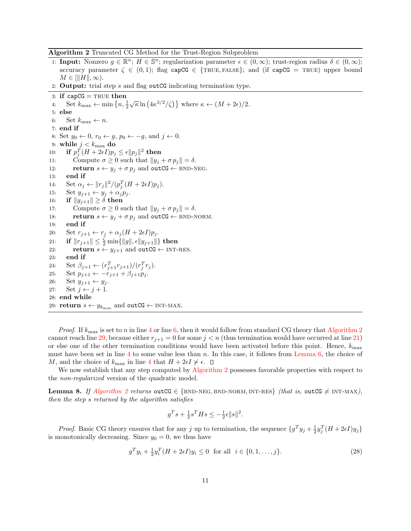Algorithm 2 Truncated CG Method for the Trust-Region Subproblem

- 1: **Input:** Nonzero  $g \in \mathbb{R}^n$ ;  $H \in \mathbb{S}^n$ ; regularization parameter  $\epsilon \in (0,\infty)$ ; trust-region radius  $\delta \in (0,\infty)$ ; accuracy parameter  $\zeta \in (0,1)$ ; flag capCG  $\in$  {TRUE, FALSE}; and (if capCG = TRUE) upper bound  $M \in [||H||, \infty)$ .
- 2: Output: trial step s and flag outCG indicating termination type.

3: if  $capCG = TRUE$  then 4: Set  $k_{\text{max}} \leftarrow \min\left\{n, \frac{1}{2}\sqrt{\kappa} \ln\left(4\kappa^{3/2}/\zeta\right)\right\}$  where  $\kappa \leftarrow (M+2\epsilon)/2$ . 5: else 6: Set  $k_{\text{max}} \leftarrow n$ . 7: end if 8: Set  $y_0 \leftarrow 0$ ,  $r_0 \leftarrow g$ ,  $p_0 \leftarrow -g$ , and  $j \leftarrow 0$ .<br>9: while  $j < k_{\text{max}}$  do while  $j < k_{\text{max}}$  do 10: if  $p_j^T (H+2\epsilon I) p_j \leq \epsilon \|p_j\|^2$  then 11: Compute  $\sigma \ge 0$  such that  $||y_j + \sigma p_j|| = \delta$ .<br>12: **return**  $s \leftarrow y_i + \sigma p_i$  and outCG  $\leftarrow$  BND-N 12: **return**  $s \leftarrow y_j + \sigma p_j$  and outCG  $\leftarrow$  BND-NEG.<br>13: **end if** end if 14: Set  $\alpha_j \leftarrow ||r_j||^2 / (p_j^T (H + 2\epsilon I) p_j).$ 15: Set  $y_{j+1} \leftarrow y_j + \alpha_j p_j$ . 16: **if**  $||y_{j+1}|| \ge \delta$  **then**<br>17: Compute  $\sigma \ge 0$  s Compute  $\sigma \geq 0$  such that  $||y_j + \sigma p_j|| = \delta$ . 18: **return**  $s \leftarrow y_j + \sigma p_j$  and **outCG**  $\leftarrow$  BND-NORM.<br>19: **end if** end if 20: Set  $r_{i+1} \leftarrow r_i + \alpha_i (H + 2\epsilon I) p_i$ . 21: if  $||r_{j+1}|| \leq \frac{\zeta}{2} \min \{ ||g||, \epsilon ||y_{j+1}|| \}$  then 22: return  $s \leftarrow y_{j+1}$  and outCG  $\leftarrow$  INT-RES.<br>23: end if end if 24: Set  $\beta_{j+1} \leftarrow (r_{j+1}^T r_{j+1})/(r_j^T r_j).$ 25: Set  $p_{j+1} \leftarrow -r_{j+1} + \beta_{j+1}p_j$ .<br>26: Set  $y_{j+1} \leftarrow y_j$ . 26: Set  $y_{j+1} \leftarrow y_j$ .<br>27: Set  $j \leftarrow j+1$ . Set  $j \leftarrow j + 1$ . 28: end while 29: return  $s \leftarrow y_{k_{\text{max}}}$  and outCG  $\leftarrow$  INT-MAX.

*Proof.* If  $k_{\text{max}}$  is set to n in line 4 or line 6, then it would follow from standard CG theory that Algorithm 2 cannot reach line 29, because either  $r_{j+1} = 0$  for some  $j < n$  (thus termination would have occurred at line 21) or else one of the other termination conditions would have been activated before this point. Hence,  $k_{\text{max}}$ must have been set in line 4 to some value less than n. In this case, it follows from Lemma 6, the choice of M, and the choice of  $k_{\text{max}}$  in line 4 that  $H + 2\epsilon I \nsucc \epsilon$ .  $\Box$ 

We now establish that any step computed by Algorithm 2 possesses favorable properties with respect to the non-regularized version of the quadratic model.

**Lemma 8.** If Algorithm 2 returns outCG  $\in$  {BND-NEG, BND-NORM, INT-RES} (that is, outCG  $\neq$  INT-MAX), then the step s returned by the algorithm satisfies

$$
g^T s + \frac{1}{2} s^T H s \le -\frac{1}{2} \epsilon \|s\|^2.
$$

*Proof.* Basic CG theory ensures that for any j up to termination, the sequence  $\{g^T y_j + \frac{1}{2} y_j^T (H + 2\epsilon I) y_j\}$ is monotonically decreasing. Since  $y_0 = 0$ , we thus have

$$
g^T y_i + \frac{1}{2} y_i^T (H + 2\epsilon I) y_i \le 0 \quad \text{for all} \quad i \in \{0, 1, \dots, j\}. \tag{28}
$$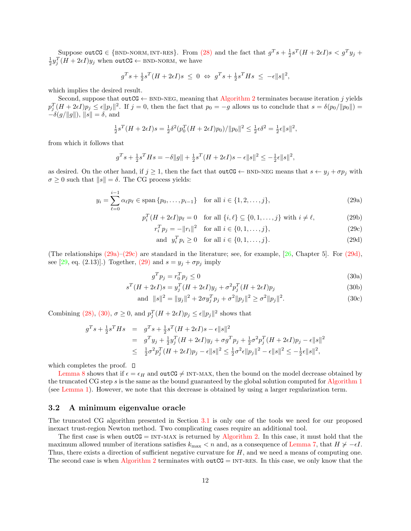Suppose outCG  $\in$  {BND-NORM, INT-RES}. From (28) and the fact that  $g^T s + \frac{1}{2} s^T (H + 2\epsilon I) s < g^T y_j +$  $\frac{1}{2}y_j^T(H + 2\epsilon I)y_j$  when outCG  $\leftarrow$  BND-NORM, we have

$$
g^T s + \frac{1}{2} s^T (H + 2\epsilon I) s \leq 0 \Leftrightarrow g^T s + \frac{1}{2} s^T H s \leq -\epsilon ||s||^2,
$$

which implies the desired result.

Second, suppose that outCG  $\leftarrow$  BND-NEG, meaning that Algorithm 2 terminates because iteration j yields  $p_j^T(H + 2\epsilon I)p_j \leq \epsilon ||p_j||^2$ . If  $j = 0$ , then the fact that  $p_0 = -g$  allows us to conclude that  $s = \delta(p_0/||p_0||)$  $-\delta(g/\Vert g \Vert)$ ,  $\Vert s \Vert = \delta$ , and

$$
\frac{1}{2}s^{T}(H+2\epsilon I)s = \frac{1}{2}\delta^{2}(p_{0}^{T}(H+2\epsilon I)p_{0})/||p_{0}||^{2} \leq \frac{1}{2}\epsilon\delta^{2} = \frac{1}{2}\epsilon||s||^{2},
$$

from which it follows that

$$
g^T s + \frac{1}{2} s^T H s = -\delta ||g|| + \frac{1}{2} s^T (H + 2\epsilon I) s - \epsilon ||s||^2 \le -\frac{1}{2} \epsilon ||s||^2,
$$

as desired. On the other hand, if  $j \ge 1$ , then the fact that outCG  $\leftarrow$  BND-NEG means that  $s \leftarrow y_j + \sigma p_j$  with  $\sigma \geq 0$  such that  $||s|| = \delta$ . The CG process yields:

$$
y_i = \sum_{\ell=0}^{i-1} \alpha_{\ell} p_{\ell} \in \text{span}\{p_0, \dots, p_{i-1}\} \quad \text{for all } i \in \{1, 2, \dots, j\},\tag{29a}
$$

$$
p_i^T(H + 2\epsilon I)p_\ell = 0 \quad \text{for all } \{i, \ell\} \subseteq \{0, 1, \dots, j\} \text{ with } i \neq \ell,
$$
 (29b)

 $r_i^T p_j = -||r_i||^2$  for all  $i \in \{0, 1, ..., j\},$  (29c)

and 
$$
y_i^T p_i \ge 0
$$
 for all  $i \in \{0, 1, ..., j\}$ . (29d)

(The relationships  $(29a)-(29c)$  are standard in the literature; see, for example, [26, Chapter 5]. For  $(29d)$ , see [29, eq. (2.13)].) Together, (29) and  $s = y_j + \sigma p_j$  imply

$$
g^T p_j = r_0^T p_j \le 0 \tag{30a}
$$

$$
s^{T}(H+2\epsilon I)s = y_j^{T}(H+2\epsilon I)y_j + \sigma^2 p_j^{T}(H+2\epsilon I)p_j
$$
\n(30b)

and 
$$
||s||^2 = ||y_j||^2 + 2\sigma y_j^T p_j + \sigma^2 ||p_j||^2 \ge \sigma^2 ||p_j||^2
$$
. (30c)

Combining (28), (30),  $\sigma \ge 0$ , and  $p_j^T (H + 2\epsilon I) p_j \le \epsilon ||p_j||^2$  shows that

$$
g^T s + \frac{1}{2} s^T H s = g^T s + \frac{1}{2} s^T (H + 2\epsilon I) s - \epsilon ||s||^2
$$
  
=  $g^T y_j + \frac{1}{2} y_j^T (H + 2\epsilon I) y_j + \sigma g^T p_j + \frac{1}{2} \sigma^2 p_j^T (H + 2\epsilon I) p_j - \epsilon ||s||^2$   

$$
\leq \frac{1}{2} \sigma^2 p_j^T (H + 2\epsilon I) p_j - \epsilon ||s||^2 \leq \frac{1}{2} \sigma^2 \epsilon ||p_j||^2 - \epsilon ||s||^2 \leq -\frac{1}{2} \epsilon ||s||^2,
$$

which completes the proof.  $\square$ 

Lemma 8 shows that if  $\epsilon = \epsilon_H$  and outCG  $\neq$  INT-MAX, then the bound on the model decrease obtained by the truncated CG step s is the same as the bound guaranteed by the global solution computed for Algorithm 1 (see Lemma 1). However, we note that this decrease is obtained by using a larger regularization term.

#### 3.2 A minimum eigenvalue oracle

The truncated CG algorithm presented in Section 3.1 is only one of the tools we need for our proposed inexact trust-region Newton method. Two complicating cases require an additional tool.

The first case is when outCG = INT-MAX is returned by Algorithm 2. In this case, it must hold that the maximum allowed number of iterations satisfies  $k_{\text{max}} < n$  and, as a consequence of Lemma 7, that  $H \not\succ -\epsilon I$ . Thus, there exists a direction of sufficient negative curvature for  $H$ , and we need a means of computing one. The second case is when Algorithm 2 terminates with outCG =  $INT-RES$ . In this case, we only know that the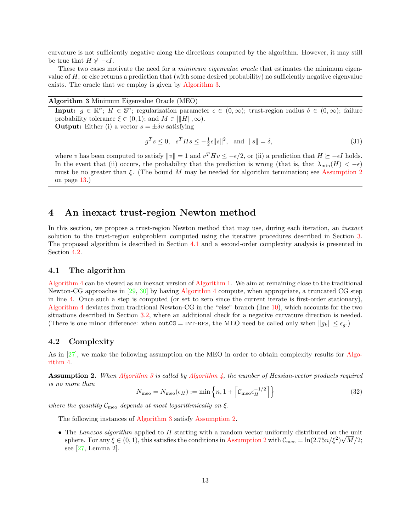curvature is not sufficiently negative along the directions computed by the algorithm. However, it may still be true that  $H \nsucc \neg \epsilon I$ .

These two cases motivate the need for a *minimum eigenvalue oracle* that estimates the minimum eigenvalue of  $H$ , or else returns a prediction that (with some desired probability) no sufficiently negative eigenvalue exists. The oracle that we employ is given by Algorithm 3.

Algorithm 3 Minimum Eigenvalue Oracle (MEO)

**Input:**  $g \in \mathbb{R}^n$ ;  $H \in \mathbb{S}^n$ ; regularization parameter  $\epsilon \in (0,\infty)$ ; trust-region radius  $\delta \in (0,\infty)$ ; failure probability tolerance  $\xi \in (0,1)$ ; and  $M \in ||H||, \infty$ ). **Output:** Either (i) a vector  $s = \pm \delta v$  satisfying

$$
g^T s \le 0, \quad s^T H s \le -\frac{1}{2}\epsilon \|s\|^2, \quad \text{and} \quad \|s\| = \delta,\tag{31}
$$

where v has been computed to satisfy  $||v|| = 1$  and  $v^T H v \le -\epsilon/2$ , or (ii) a prediction that  $H \succeq -\epsilon I$  holds. In the event that (ii) occurs, the probability that the prediction is wrong (that is, that  $\lambda_{\min}(H) < -\epsilon$ ) must be no greater than  $\xi$ . (The bound M may be needed for algorithm termination; see Assumption 2 on page 13.)

### 4 An inexact trust-region Newton method

In this section, we propose a trust-region Newton method that may use, during each iteration, an *inexact* solution to the trust-region subproblem computed using the iterative procedures described in Section 3. The proposed algorithm is described in Section 4.1 and a second-order complexity analysis is presented in Section 4.2.

#### 4.1 The algorithm

Algorithm 4 can be viewed as an inexact version of Algorithm 1. We aim at remaining close to the traditional Newton-CG approaches in [29, 30] by having Algorithm 4 compute, when appropriate, a truncated CG step in line 4. Once such a step is computed (or set to zero since the current iterate is first-order stationary), Algorithm 4 deviates from traditional Newton-CG in the "else" branch (line 10), which accounts for the two situations described in Section 3.2, where an additional check for a negative curvature direction is needed. (There is one minor difference: when  $\text{outCG} = \text{INT-RES}$ , the MEO need be called only when  $\|g_k\| \leq \epsilon_q$ .)

#### 4.2 Complexity

As in [27], we make the following assumption on the MEO in order to obtain complexity results for Algorithm 4.

**Assumption 2.** When Algorithm 3 is called by Algorithm 4, the number of Hessian-vector products required is no more than

$$
N_{\text{meo}} = N_{\text{meo}}(\epsilon_H) := \min\left\{ n, 1 + \left[ \mathcal{C}_{\text{meo}} \epsilon_H^{-1/2} \right] \right\} \tag{32}
$$

where the quantity  $\mathcal{C}_{\text{meo}}$  depends at most logarithmically on  $\xi$ .

The following instances of Algorithm 3 satisfy Assumption 2.

• The Lanczos algorithm applied to H starting with a random vector uniformly distributed on the unit sphere. For any  $\xi \in (0, 1)$ , this satisfies the conditions in Assumption 2 with  $\mathcal{C}_{\text{meo}} = \ln(2.75n/\xi^2)\sqrt{M}/2$ ; see [27, Lemma 2].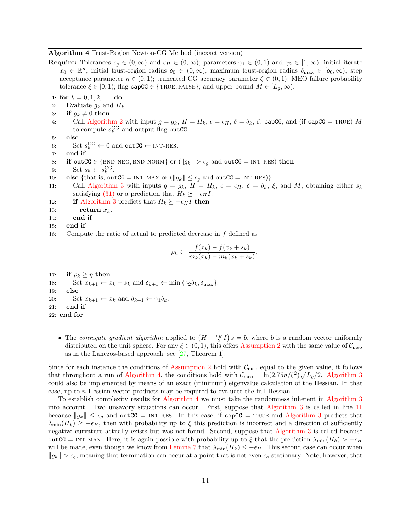Algorithm 4 Trust-Region Newton-CG Method (inexact version)

end if 22: end for

**Require:** Tolerances  $\epsilon_g \in (0,\infty)$  and  $\epsilon_H \in (0,\infty)$ ; parameters  $\gamma_1 \in (0,1)$  and  $\gamma_2 \in [1,\infty)$ ; initial iterate  $x_0 \in \mathbb{R}^n$ ; initial trust-region radius  $\delta_0 \in (0,\infty)$ ; maximum trust-region radius  $\delta_{\max} \in [\delta_0,\infty)$ ; step acceptance parameter  $\eta \in (0,1)$ ; truncated CG accuracy parameter  $\zeta \in (0,1)$ ; MEO failure probability tolerance  $\xi \in [0,1)$ ; flag capCG  $\in \{\text{TRUE}, \text{FALSE}\}$ ; and upper bound  $M \in [L_q, \infty)$ . 1: for  $k = 0, 1, 2, \ldots$  do 2: Evaluate  $g_k$  and  $H_k$ . 3: if  $g_k \neq 0$  then<br>4: Call Algorith Call Algorithm 2 with input  $g = g_k$ ,  $H = H_k$ ,  $\epsilon = \epsilon_H$ ,  $\delta = \delta_k$ ,  $\zeta$ , capCG, and (if capCG = TRUE) M to compute  $s_k^{\text{CG}}$  and output flag outCG. 5: else 6: Set  $s_k^{\text{CG}} \leftarrow 0$  and outCG  $\leftarrow$  INT-RES. 7: end if 8: **if outCG**  $\in$  {BND-NEG, BND-NORM} or ( $||g_k|| > \epsilon_g$  and **outCG** = INT-RES) **then** 9: Set  $s_k \leftarrow s_k^{\text{CG}}$ . 9: Set  $s_k \leftarrow s_k^{\text{CG}}$ . 10: **else** {that is, **outCG** = INT-MAX or  $(||g_k|| \le \epsilon_g$  and **outCG** = INT-RES)}<br>11: Call Algorithm 3 with inputs  $q = q_k$ ,  $H = H_k$ ,  $\epsilon = \epsilon_H$ ,  $\delta = \delta_k$ , Call Algorithm 3 with inputs  $g = g_k$ ,  $H = H_k$ ,  $\epsilon = \epsilon_H$ ,  $\delta = \delta_k$ ,  $\xi$ , and M, obtaining either  $s_k$ satisfying (31) or a prediction that  $H_k \succeq -\epsilon_H I$ . 12: **if** Algorithm 3 predicts that  $H_k \succeq -\epsilon_H I$  then<br>13: **return**  $x_k$ . return  $x_k$ . 14: end if 15: end if 16: Compute the ratio of actual to predicted decrease in f defined as  $\rho_k \leftarrow \frac{f(x_k) - f(x_k + s_k)}{m_k(x_k) - m_k(x_k + s_k)}$  $\frac{J(\omega_k)}{m_k(x_k) - m_k(x_k + s_k)}$ . 17: **if**  $\rho_k \geq \eta$  then<br>18: Set  $x_{k+1} \leftarrow x$ 18: Set  $x_{k+1} \leftarrow x_k + s_k$  and  $\delta_{k+1} \leftarrow \min{\{\gamma_2 \delta_k, \delta_{\max}\}}$ .<br>19: **else** else 20: Set  $x_{k+1} \leftarrow x_k$  and  $\delta_{k+1} \leftarrow \gamma_1 \delta_k$ .<br>21: **end if** 

• The conjugate gradient algorithm applied to  $(H + \frac{\epsilon_H}{2}I)s = b$ , where b is a random vector uniformly distributed on the unit sphere. For any  $\xi \in (0, 1)$ , this offers Assumption 2 with the same value of  $\mathcal{C}_{\text{meo}}$ as in the Lanczos-based approach; see [27, Theorem 1].

Since for each instance the conditions of Assumption 2 hold with  $\mathcal{C}_{\text{meo}}$  equal to the given value, it follows that throughout a run of Algorithm 4, the conditions hold with  $C_{\text{meo}} = \ln(2.75n/\xi^2)\sqrt{L_g}/2$ . Algorithm 3 could also be implemented by means of an exact (minimum) eigenvalue calculation of the Hessian. In that case, up to n Hessian-vector products may be required to evaluate the full Hessian.

To establish complexity results for Algorithm 4 we must take the randomness inherent in Algorithm 3 into account. Two unsavory situations can occur. First, suppose that Algorithm 3 is called in line 11 because  $||g_k|| \leq \epsilon_g$  and outCG = INT-RES. In this case, if capCG = TRUE and Algorithm 3 predicts that  $\lambda_{\min}(H_k) \geq -\epsilon_H$ , then with probability up to  $\xi$  this prediction is incorrect and a direction of sufficiently negative curvature actually exists but was not found. Second, suppose that Algorithm 3 is called because outCG = INT-MAX. Here, it is again possible with probability up to  $\xi$  that the prediction  $\lambda_{\min}(H_k) > -\epsilon_H$ will be made, even though we know from Lemma 7 that  $\lambda_{\min}(H_k) \leq -\epsilon_H$ . This second case can occur when  $||g_k|| > \epsilon_q$ , meaning that termination can occur at a point that is not even  $\epsilon_q$ -stationary. Note, however, that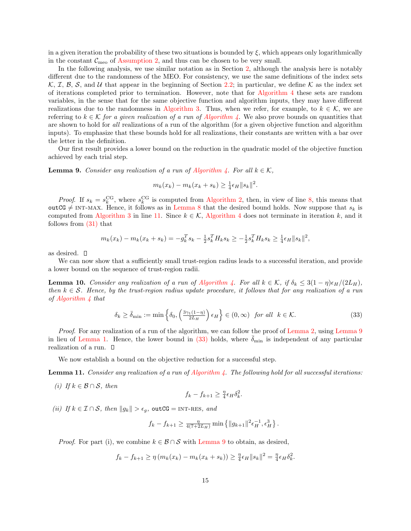in a given iteration the probability of these two situations is bounded by  $\xi$ , which appears only logarithmically in the constant  $C_{\text{meo}}$  of Assumption 2, and thus can be chosen to be very small.

In the following analysis, we use similar notation as in Section 2, although the analysis here is notably different due to the randomness of the MEO. For consistency, we use the same definitions of the index sets  $\mathcal{K}, \mathcal{I}, \mathcal{B}, \mathcal{S}, \mathcal{S}, \mathcal{A}$  that appear in the beginning of Section 2.2; in particular, we define  $\mathcal{K}$  as the index set of iterations completed prior to termination. However, note that for Algorithm 4 these sets are random variables, in the sense that for the same objective function and algorithm inputs, they may have different realizations due to the randomness in Algorithm 3. Thus, when we refer, for example, to  $k \in \mathcal{K}$ , we are referring to  $k \in \mathcal{K}$  for a given realization of a run of Algorithm 4. We also prove bounds on quantities that are shown to hold for all realizations of a run of the algorithm (for a given objective function and algorithm inputs). To emphasize that these bounds hold for all realizations, their constants are written with a bar over the letter in the definition.

Our first result provides a lower bound on the reduction in the quadratic model of the objective function achieved by each trial step.

**Lemma 9.** Consider any realization of a run of Algorithm 4. For all  $k \in \mathcal{K}$ ,

$$
m_k(x_k) - m_k(x_k + s_k) \ge \frac{1}{4} \epsilon_H ||s_k||^2.
$$

*Proof.* If  $s_k = s_k^{\text{CG}}$ , where  $s_k^{\text{CG}}$  is computed from Algorithm 2, then, in view of line 8, this means that outCG  $\neq$  INT-MAX. Hence, it follows as in Lemma 8 that the desired bound holds. Now suppose that  $s_k$  is computed from Algorithm 3 in line 11. Since  $k \in \mathcal{K}$ , Algorithm 4 does not terminate in iteration k, and it follows from (31) that

$$
m_k(x_k) - m_k(x_k + s_k) = -g_k^T s_k - \frac{1}{2} s_k^T H_k s_k \ge -\frac{1}{2} s_k^T H_k s_k \ge \frac{1}{4} \epsilon_H \|s_k\|^2,
$$

as desired.

We can now show that a sufficiently small trust-region radius leads to a successful iteration, and provide a lower bound on the sequence of trust-region radii.

**Lemma 10.** Consider any realization of a run of Algorithm 4. For all  $k \in \mathcal{K}$ , if  $\delta_k \leq 3(1 - \eta)\epsilon_H/(2L_H)$ , then  $k \in \mathcal{S}$ . Hence, by the trust-region radius update procedure, it follows that for any realization of a run of Algorithm 4 that

$$
\delta_k \ge \bar{\delta}_{\min} := \min \left\{ \delta_0, \left( \frac{3\gamma_1(1-\eta)}{2L_H} \right) \epsilon_H \right\} \in (0, \infty) \quad \text{for all} \quad k \in \mathcal{K}.
$$

Proof. For any realization of a run of the algorithm, we can follow the proof of Lemma 2, using Lemma 9 in lieu of Lemma 1. Hence, the lower bound in (33) holds, where  $\delta_{\min}$  is independent of any particular realization of a run.

We now establish a bound on the objective reduction for a successful step.

**Lemma 11.** Consider any realization of a run of Algorithm 4. The following hold for all successful iterations:

(i) If  $k \in \mathcal{B} \cap \mathcal{S}$ , then

$$
f_k - f_{k+1} \ge \frac{\eta}{4} \epsilon_H \delta_k^2.
$$

(ii) If  $k \in \mathcal{I} \cap \mathcal{S}$ , then  $||g_k|| > \epsilon_q$ , outCG = INT-RES, and

$$
f_k - f_{k+1} \ge \frac{\eta}{4(7+2L_H)} \min \{ ||g_{k+1}||^2 \epsilon_H^{-1}, \epsilon_H^3 \}.
$$

*Proof.* For part (i), we combine  $k \in \mathcal{B} \cap \mathcal{S}$  with Lemma 9 to obtain, as desired,

$$
f_k - f_{k+1} \ge \eta \left( m_k(x_k) - m_k(x_k + s_k) \right) \ge \frac{\eta}{4} \epsilon_H \|s_k\|^2 = \frac{\eta}{4} \epsilon_H \delta_k^2.
$$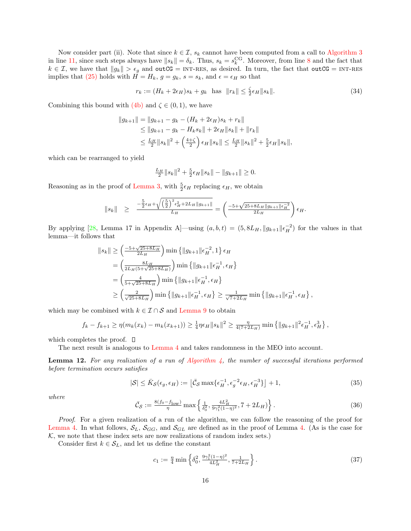Now consider part (ii). Note that since  $k \in \mathcal{I}$ ,  $s_k$  cannot have been computed from a call to Algorithm 3 in line 11, since such steps always have  $||s_k|| = \delta_k$ . Thus,  $s_k = s_k^{\text{CG}}$ . Moreover, from line 8 and the fact that  $k \in \mathcal{I}$ , we have that  $||g_k|| > \epsilon_g$  and outCG = INT-RES, as desired. In turn, the fact that outCG = INT-RES implies that (25) holds with  $H = H_k$ ,  $g = g_k$ ,  $s = s_k$ , and  $\epsilon = \epsilon_H$  so that

$$
r_k := (H_k + 2\epsilon_H)s_k + g_k \quad \text{has} \quad ||r_k|| \le \frac{\zeta}{2}\epsilon_H ||s_k||. \tag{34}
$$

Combining this bound with  $(4b)$  and  $\zeta \in (0,1)$ , we have

$$
||g_{k+1}|| = ||g_{k+1} - g_k - (H_k + 2\epsilon_H)s_k + r_k||
$$
  
\n
$$
\le ||g_{k+1} - g_k - H_k s_k|| + 2\epsilon_H ||s_k|| + ||r_k||
$$
  
\n
$$
\le \frac{L_H}{2} ||s_k||^2 + \left(\frac{4+\zeta}{2}\right) \epsilon_H ||s_k|| \le \frac{L_H}{2} ||s_k||^2 + \frac{5}{2} \epsilon_H ||s_k||,
$$

which can be rearranged to yield

$$
\frac{L_H}{2}||s_k||^2 + \frac{5}{2}\epsilon_H||s_k|| - ||g_{k+1}|| \ge 0.
$$

Reasoning as in the proof of Lemma 3, with  $\frac{5}{2} \epsilon_H$  replacing  $\epsilon_H$ , we obtain

$$
\|s_k\| \geq \frac{-\frac{5}{2}\epsilon_H + \sqrt{\left(\frac{5}{2}\right)^2 \epsilon_H^2 + 2L_H \|g_{k+1}\|}}{L_H} = \left(\frac{-5 + \sqrt{25 + 8L_H \|g_{k+1}\| \epsilon_H^{-2}}}{2L_H}\right)\epsilon_H.
$$

By applying [28, Lemma 17 in Appendix A]—using  $(a, b, t) = (5, 8L_H, ||g_{k+1}||\epsilon_H^{-2})$  for the values in that lemma—it follows that

$$
||s_k|| \ge \left(\frac{-5 + \sqrt{25 + 8L_H}}{2L_H}\right) \min \{||g_{k+1}||\epsilon_H^{-2}, 1\} \epsilon_H
$$
  
=  $\left(\frac{8L_H}{2L_H(5 + \sqrt{25 + 8L_H})}\right) \min \{||g_{k+1}||\epsilon_H^{-1}, \epsilon_H\}$   
=  $\left(\frac{4}{5 + \sqrt{25 + 8L_H}}\right) \min \{||g_{k+1}||\epsilon_H^{-1}, \epsilon_H\}$   
 $\ge \left(\frac{2}{\sqrt{25 + 8L_H}}\right) \min \{||g_{k+1}||\epsilon_H^{-1}, \epsilon_H\} \ge \frac{1}{\sqrt{7 + 2L_H}} \min \{||g_{k+1}||\epsilon_H^{-1}, \epsilon_H\}$ 

which may be combined with  $k \in \mathcal{I} \cap \mathcal{S}$  and Lemma 9 to obtain

$$
f_k - f_{k+1} \ge \eta(m_k(x_k) - m_k(x_{k+1})) \ge \frac{1}{4}\eta \epsilon_H \|s_k\|^2 \ge \frac{\eta}{4(7+2L_H)} \min\left\{\|g_{k+1}\|^2 \epsilon_H^{-1}, \epsilon_H^3\right\},\
$$

which completes the proof.  $\square$ 

The next result is analogous to Lemma 4 and takes randomness in the MEO into account.

**Lemma 12.** For any realization of a run of Algorithm 4, the number of successful iterations performed before termination occurs satisfies

$$
|\mathcal{S}| \le \bar{K}_{\mathcal{S}}(\epsilon_g, \epsilon_H) := \left[ \bar{\mathcal{C}}_{\mathcal{S}} \max \{ \epsilon_H^{-1}, \epsilon_g^{-2} \epsilon_H, \epsilon_H^{-3} \} \right] + 1, \tag{35}
$$

,

where

$$
\bar{\mathcal{C}}_{\mathcal{S}} := \frac{8(f_0 - f_{\text{low}})}{\eta} \max \left\{ \frac{1}{\delta_0^2}, \frac{4L_H^2}{9\gamma_1^2 (1 - \eta)^2}, 7 + 2L_H) \right\}.
$$
 (36)

Proof. For a given realization of a run of the algorithm, we can follow the reasoning of the proof for Lemma 4. In what follows,  $S_L$ ,  $S_{GG}$ , and  $S_{GL}$  are defined as in the proof of Lemma 4. (As is the case for  $K$ , we note that these index sets are now realizations of random index sets.)

Consider first  $k \in S_L$ , and let us define the constant

$$
c_1 := \frac{\eta}{4} \min \left\{ \delta_0^2, \frac{9\gamma_1^2 (1-\eta)^2}{4L_H^2}, \frac{1}{7+2L_H} \right\}.
$$
 (37)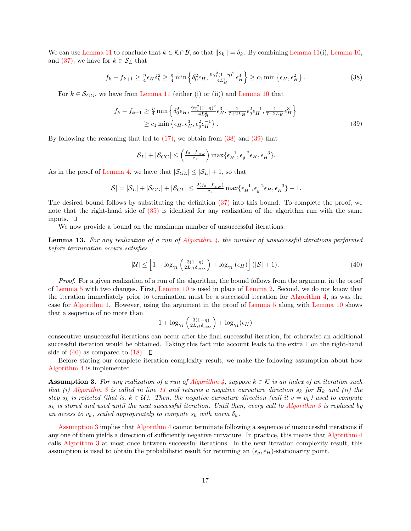We can use Lemma 11 to conclude that  $k \in \mathcal{K} \cap \mathcal{B}$ , so that  $||s_k|| = \delta_k$ . By combining Lemma 11(i), Lemma 10, and (37), we have for  $k \in S_L$  that

$$
f_k - f_{k+1} \ge \frac{\eta}{4} \epsilon_H \delta_k^2 \ge \frac{\eta}{4} \min \left\{ \delta_0^2 \epsilon_H, \frac{9\gamma_1^2 (1-\eta)^2}{4L_H^2} \epsilon_H^3 \right\} \ge c_1 \min \left\{ \epsilon_H, \epsilon_H^2 \right\}.
$$
 (38)

For  $k \in \mathcal{S}_{GG}$ , we have from Lemma 11 (either (i) or (ii)) and Lemma 10 that

$$
f_k - f_{k+1} \ge \frac{\eta}{4} \min \left\{ \delta_0^2 \epsilon_H, \frac{9\gamma_1^2 (1-\eta)^2}{4L_H^2} \epsilon_H^3, \frac{1}{7+2L_H} \epsilon_g^2 \epsilon_H^{-1}, \frac{1}{7+2L_H} \epsilon_H^3 \right\}
$$
  
\n
$$
\ge c_1 \min \left\{ \epsilon_H, \epsilon_H^3, \epsilon_g^2 \epsilon_H^{-1} \right\}. \tag{39}
$$

By following the reasoning that led to  $(17)$ , we obtain from  $(38)$  and  $(39)$  that

$$
|\mathcal{S}_L| + |\mathcal{S}_{GG}| \leq \left(\frac{f_0 - f_{\text{low}}}{c_1}\right) \max\{\epsilon_H^{-1}, \epsilon_g^{-2} \epsilon_H, \epsilon_H^{-3}\}.
$$

As in the proof of Lemma 4, we have that  $|\mathcal{S}_{GL}| \leq |\mathcal{S}_L| + 1$ , so that

$$
|\mathcal{S}| = |\mathcal{S}_L| + |\mathcal{S}_{GG}| + |\mathcal{S}_{GL}| \leq \frac{2(f_0 - f_{\text{low}})}{c_1} \max\{\epsilon_H^{-1}, \epsilon_g^{-2} \epsilon_H, \epsilon_H^{-3}\} + 1.
$$

The desired bound follows by substituting the definition (37) into this bound. To complete the proof, we note that the right-hand side of (35) is identical for any realization of the algorithm run with the same inputs.  $\square$ 

We now provide a bound on the maximum number of unsuccessful iterations.

**Lemma 13.** For any realization of a run of Algorithm  $\lambda$ , the number of unsuccessful iterations performed before termination occurs satisfies

$$
|\mathcal{U}| \le \left[1 + \log_{\gamma_1}\left(\frac{3(1-\eta)}{2L_H \delta_{\text{max}}}\right) + \log_{\gamma_1}\left(\epsilon_H\right)\right] (|\mathcal{S}| + 1). \tag{40}
$$

Proof. For a given realization of a run of the algorithm, the bound follows from the argument in the proof of Lemma 5 with two changes. First, Lemma 10 is used in place of Lemma 2. Second, we do not know that the iteration immediately prior to termination must be a successful iteration for Algorithm 4, as was the case for Algorithm 1. However, using the argument in the proof of Lemma 5 along with Lemma 10 shows that a sequence of no more than

$$
1+\log_{\gamma_1}\left(\tfrac{3(1-\eta)}{2L_H\delta_{\max}}\right)+\log_{\gamma_1}(\epsilon_H)
$$

consecutive unsuccessful iterations can occur after the final successful iteration, for otherwise an additional successful iteration would be obtained. Taking this fact into account leads to the extra 1 on the right-hand side of  $(40)$  as compared to  $(18)$ .  $\Box$ 

Before stating our complete iteration complexity result, we make the following assumption about how Algorithm 4 is implemented.

**Assumption 3.** For any realization of a run of Algorithm 4, suppose  $k \in \mathcal{K}$  is an index of an iteration such that (i) Algorithm 3 is called in line 11 and returns a negative curvature direction  $s_k$  for  $H_k$  and (ii) the step  $s_k$  is rejected (that is,  $k \in U$ ). Then, the negative curvature direction (call it  $v = v_k$ ) used to compute  $s_k$  is stored and used until the next successful iteration. Until then, every call to Algorithm 3 is replaced by an access to  $v_k$ , scaled appropriately to compute  $s_k$  with norm  $\delta_k$ .

Assumption 3 implies that Algorithm 4 cannot terminate following a sequence of unsuccessful iterations if any one of them yields a direction of sufficiently negative curvature. In practice, this means that Algorithm 4 calls Algorithm 3 at most once between successful iterations. In the next iteration complexity result, this assumption is used to obtain the probabilistic result for returning an  $(\epsilon_g, \epsilon_H)$ -stationarity point.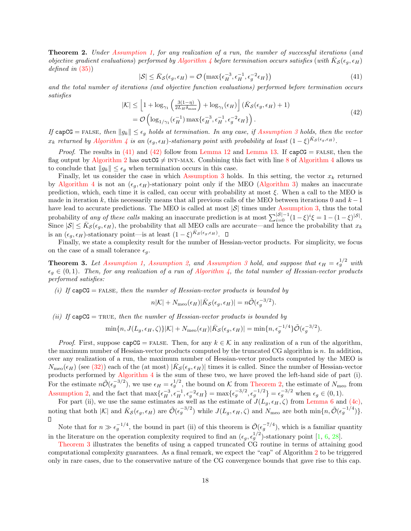Theorem 2. Under Assumption 1, for any realization of a run, the number of successful iterations (and objective gradient evaluations) performed by Algorithm 4 before termination occurs satisfies (with  $\bar{K}_{\mathcal{S}}(\epsilon_g, \epsilon_H)$ defined in  $(35)$ 

$$
|\mathcal{S}| \le \bar{K}_{\mathcal{S}}(\epsilon_g, \epsilon_H) = \mathcal{O}\left(\max\{\epsilon_H^{-3}, \epsilon_H^{-1}, \epsilon_g^{-2}\epsilon_H\}\right) \tag{41}
$$

and the total number of iterations (and objective function evaluations) performed before termination occurs satisfies

$$
|\mathcal{K}| \leq \left[1 + \log_{\gamma_1}\left(\frac{3(1-\eta)}{2L_H\delta_{\max}}\right) + \log_{\gamma_1}(\epsilon_H)\right] (\bar{K}_{\mathcal{S}}(\epsilon_g, \epsilon_H) + 1)
$$
  
=  $\mathcal{O}\left(\log_{1/\gamma_1}(\epsilon_H^{-1}) \max\{\epsilon_H^{-3}, \epsilon_H^{-1}, \epsilon_g^{-2}\epsilon_H\}\right).$  (42)

If capCG = FALSE, then  $||g_k|| \leq \epsilon_g$  holds at termination. In any case, if Assumption 3 holds, then the vector  $x_k$  returned by Algorithm 4 is an  $(\epsilon_g, \epsilon_H)$ -stationary point with probability at least  $(1-\xi)^{\bar{K}_{\mathcal{S}}(\epsilon_g, \epsilon_H)}$ .

*Proof.* The results in (41) and (42) follow from Lemma 12 and Lemma 13. If  $capCG = FALSE$ , then the flag output by Algorithm 2 has outCG  $\neq$  INT-MAX. Combining this fact with line 8 of Algorithm 4 allows us to conclude that  $||g_k|| \leq \epsilon_g$  when termination occurs in this case.

Finally, let us consider the case in which Assumption 3 holds. In this setting, the vector  $x_k$  returned by Algorithm 4 is not an  $(\epsilon_g, \epsilon_H)$ -stationary point only if the MEO (Algorithm 3) makes an inaccurate prediction, which, each time it is called, can occur with probability at most  $\xi$ . When a call to the MEO is made in iteration k, this necessarily means that all previous calls of the MEO between iterations 0 and  $k-1$ have lead to accurate predictions. The MEO is called at most  $|\mathcal{S}|$  times under Assumption 3, thus the total probability of any of these calls making an inaccurate prediction is at most  $\sum_{i=0}^{|S|-1} (1-\xi)^i \xi = 1 - (1-\xi)^{|S|}$ . Since  $|S| \leq \bar{K}_{\mathcal{S}}(\epsilon_g, \epsilon_H)$ , the probability that all MEO calls are accurate—and hence the probability that  $x_k$ is an  $(\epsilon_g, \epsilon_H)$ -stationary point—is at least  $(1 - \xi)^{\bar{K}_{\mathcal{S}}(\epsilon_g, \epsilon_H)}$ .

Finally, we state a complexity result for the number of Hessian-vector products. For simplicity, we focus on the case of a small tolerance  $\epsilon_{q}$ .

**Theorem 3.** Let Assumption 1, Assumption 2, and Assumption 3 hold, and suppose that  $\epsilon_H = \epsilon_g^{1/2}$  with  $\epsilon_q \in (0,1)$ . Then, for any realization of a run of Algorithm 4, the total number of Hessian-vector products performed satisfies:

(i) If  $capCG = FALSE$ , then the number of Hessian-vector products is bounded by

$$
n|\mathcal{K}| + N_{\text{meo}}(\epsilon_H) |\bar{K}_{\mathcal{S}}(\epsilon_g, \epsilon_H)| = n\tilde{\mathcal{O}}(\epsilon_g^{-3/2}).
$$

(ii) If  $capCG = TRUE$ , then the number of Hessian-vector products is bounded by

$$
\min\{n, J(L_g, \epsilon_H, \zeta)\}|\mathcal{K}| + N_{\text{meo}}(\epsilon_H)|\bar{K}_{\mathcal{S}}(\epsilon_g, \epsilon_H)| = \min\{n, \epsilon_g^{-1/4}\}\tilde{\mathcal{O}}(\epsilon_g^{-3/2}).
$$

*Proof.* First, suppose capCG = FALSE. Then, for any  $k \in \mathcal{K}$  in any realization of a run of the algorithm, the maximum number of Hessian-vector products computed by the truncated CG algorithm is  $n$ . In addition, over any realization of a run, the maximum number of Hessian-vector products computed by the MEO is  $N_{\rm{meo}}(\epsilon_H)$  (see (32)) each of the (at most)  $|\bar{K}_{\mathcal{S}}(\epsilon_g, \epsilon_H)|$  times it is called. Since the number of Hessian-vector products performed by Algorithm 4 is the sum of these two, we have proved the left-hand side of part (i). For the estimate  $n\tilde{\mathcal{O}}(\epsilon_g^{-3/2})$ , we use  $\epsilon_H = \epsilon_g^{1/2}$ , the bound on K from Theorem 2, the estimate of  $N_{\text{meo}}$  from Assumption 2, and the fact that  $\max{\lbrace \epsilon_H^{-3}, \epsilon_H^{-1}, \epsilon_g^{-2} \epsilon_H \rbrace} = \max{\lbrace \epsilon_g^{-3/2}, \epsilon_g^{-1/2} \rbrace} = \epsilon_g^{-3/2}$  when  $\epsilon_g \in (0, 1)$ .

For part (ii), we use the same estimates as well as the estimate of  $J(L_g, \epsilon_H, \zeta)$  from Lemma 6 and (4c), noting that both  $|\mathcal{K}|$  and  $\bar{K}_{\mathcal{S}}(\epsilon_g, \epsilon_H)$  are  $\tilde{\mathcal{O}}(\epsilon_g^{-3/2})$  while  $J(L_g, \epsilon_H, \zeta)$  and  $N_{\text{meo}}$  are both  $\min\{n, \tilde{\mathcal{O}}(\epsilon_g^{-1/4})\}.$ 

Note that for  $n \gg \epsilon_g^{-1/4}$ , the bound in part (ii) of this theorem is  $\tilde{\mathcal{O}}(\epsilon_g^{-7/4})$ , which is a familiar quantity in the literature on the operation complexity required to find an  $(\epsilon_g, \epsilon_g^{1/2})$ -stationary point [1, 6, 28].

Theorem 3 illustrates the benefits of using a capped truncated CG routine in terms of attaining good computational complexity guarantees. As a final remark, we expect the "cap" of Algorithm 2 to be triggered only in rare cases, due to the conservative nature of the CG convergence bounds that gave rise to this cap.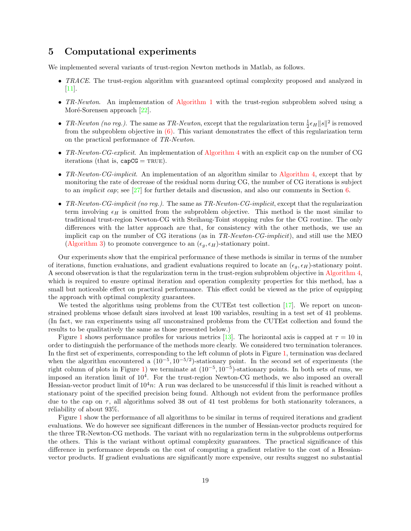## 5 Computational experiments

We implemented several variants of trust-region Newton methods in Matlab, as follows.

- TRACE. The trust-region algorithm with guaranteed optimal complexity proposed and analyzed in [11].
- TR-Newton. An implementation of Algorithm 1 with the trust-region subproblem solved using a Moré-Sorensen approach [22].
- TR-Newton (no reg.). The same as TR-Newton, except that the regularization term  $\frac{1}{2} \epsilon_H ||s||^2$  is removed from the subproblem objective in  $(6)$ . This variant demonstrates the effect of this regularization term on the practical performance of TR-Newton.
- TR-Newton-CG-explicit. An implementation of Algorithm 4 with an explicit cap on the number of CG iterations (that is,  $capCG = TRUE$ ).
- TR-Newton-CG-implicit. An implementation of an algorithm similar to Algorithm 4, except that by monitoring the rate of decrease of the residual norm during CG, the number of CG iterations is subject to an *implicit cap*; see  $\lfloor 27 \rfloor$  for further details and discussion, and also our comments in Section 6.
- TR-Newton-CG-implicit (no reg.). The same as  $TR-Newton\text{-}CG\text{-}\text{implicit}$ , except that the regularization term involving  $\epsilon_H$  is omitted from the subproblem objective. This method is the most similar to traditional trust-region Newton-CG with Steihaug-Toint stopping rules for the CG routine. The only differences with the latter approach are that, for consistency with the other methods, we use an implicit cap on the number of CG iterations (as in TR-Newton-CG-implicit), and still use the MEO (Algorithm 3) to promote convergence to an  $(\epsilon_q, \epsilon_H)$ -stationary point.

Our experiments show that the empirical performance of these methods is similar in terms of the number of iterations, function evaluations, and gradient evaluations required to locate an  $(\epsilon_g, \epsilon_H)$ -stationary point. A second observation is that the regularization term in the trust-region subproblem objective in Algorithm 4, which is required to ensure optimal iteration and operation complexity properties for this method, has a small but noticeable effect on practical performance. This effect could be viewed as the price of equipping the approach with optimal complexity guarantees.

We tested the algorithms using problems from the CUTEst test collection [17]. We report on unconstrained problems whose default sizes involved at least 100 variables, resulting in a test set of 41 problems. (In fact, we ran experiments using all unconstrained problems from the CUTEst collection and found the results to be qualitatively the same as those presented below.)

Figure 1 shows performance profiles for various metrics [13]. The horizontal axis is capped at  $\tau = 10$  in order to distinguish the performance of the methods more clearly. We considered two termination tolerances. In the first set of experiments, corresponding to the left column of plots in Figure 1, termination was declared when the algorithm encountered a  $(10^{-5}, 10^{-5/2})$ -stationary point. In the second set of experiments (the right column of plots in Figure 1) we terminate at  $(10^{-5}, 10^{-5})$ -stationary points. In both sets of runs, we imposed an iteration limit of  $10^4$ . For the trust-region Newton-CG methods, we also imposed an overall Hessian-vector product limit of  $10^4n$ . A run was declared to be unsuccessful if this limit is reached without a stationary point of the specified precision being found. Although not evident from the performance profiles due to the cap on  $\tau$ , all algorithms solved 38 out of 41 test problems for both stationarity tolerances, a reliability of about 93%.

Figure 1 show the performance of all algorithms to be similar in terms of required iterations and gradient evaluations. We do however see significant differences in the number of Hessian-vector products required for the three TR-Newton-CG methods. The variant with no regularization term in the subproblems outperforms the others. This is the variant without optimal complexity guarantees. The practical significance of this difference in performance depends on the cost of computing a gradient relative to the cost of a Hessianvector products. If gradient evaluations are significantly more expensive, our results suggest no substantial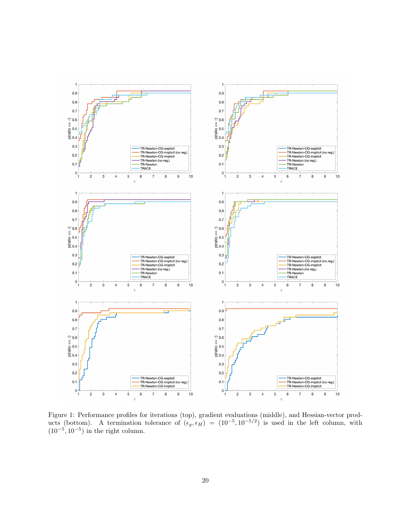

Figure 1: Performance profiles for iterations (top), gradient evaluations (middle), and Hessian-vector products (bottom). A termination tolerance of  $(\epsilon_g, \epsilon_H) = (10^{-5}, 10^{-5/2})$  is used in the left column, with  $(10^{-5}, 10^{-5})$  in the right column.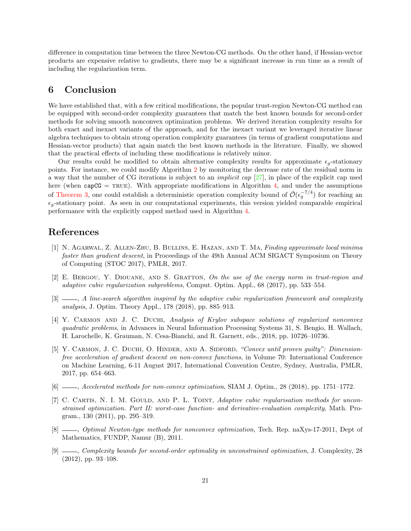difference in computation time between the three Newton-CG methods. On the other hand, if Hessian-vector products are expensive relative to gradients, there may be a significant increase in run time as a result of including the regularization term.

# 6 Conclusion

We have established that, with a few critical modifications, the popular trust-region Newton-CG method can be equipped with second-order complexity guarantees that match the best known bounds for second-order methods for solving smooth nonconvex optimization problems. We derived iteration complexity results for both exact and inexact variants of the approach, and for the inexact variant we leveraged iterative linear algebra techniques to obtain strong operation complexity guarantees (in terms of gradient computations and Hessian-vector products) that again match the best known methods in the literature. Finally, we showed that the practical effects of including these modifications is relatively minor.

Our results could be modified to obtain alternative complexity results for approximate  $\epsilon_g$ -stationary points. For instance, we could modify Algorithm 2 by monitoring the decrease rate of the residual norm in a way that the number of CG iterations is subject to an *implicit cap*  $[27]$ , in place of the explicit cap used here (when  $capCG = TRUE$ ). With appropriate modifications in Algorithm 4, and under the assumptions of Theorem 3, one could establish a deterministic operation complexity bound of  $\tilde{\mathcal{O}}(\epsilon_g^{-7/4})$  for reaching an  $\epsilon_{q}$ -stationary point. As seen in our computational experiments, this version yielded comparable empirical performance with the explicitly capped method used in Algorithm 4.

# References

- [1] N. Agarwal, Z. Allen-Zhu, B. Bullins, E. Hazan, and T. Ma, Finding approximate local minima faster than gradient descent, in Proceedings of the 49th Annual ACM SIGACT Symposium on Theory of Computing (STOC 2017), PMLR, 2017.
- [2] E. Bergou, Y. Diouane, and S. Gratton, On the use of the energy norm in trust-region and adaptive cubic regularization subproblems, Comput. Optim. Appl., 68 (2017), pp. 533–554.
- [3]  $\_\_\_\_\$  A line-search algorithm inspired by the adaptive cubic regularization framework and complexity analysis, J. Optim. Theory Appl., 178 (2018), pp. 885–913.
- [4] Y. CARMON AND J. C. DUCHI, Analysis of Krylov subspace solutions of regularized nonconvex quadratic problems, in Advances in Neural Information Processing Systems 31, S. Bengio, H. Wallach, H. Larochelle, K. Grauman, N. Cesa-Bianchi, and R. Garnett, eds., 2018, pp. 10726–10736.
- [5] Y. CARMON, J. C. DUCHI, O. HINDER, AND A. SIDFORD, "Convex until proven guilty": Dimensionfree acceleration of gradient descent on non-convex functions, in Volume 70: International Conference on Machine Learning, 6-11 August 2017, International Convention Centre, Sydney, Australia, PMLR, 2017, pp. 654–663.
- [6] , Accelerated methods for non-convex optimization, SIAM J. Optim., 28 (2018), pp. 1751–1772.
- [7] C. CARTIS, N. I. M. GOULD, AND P. L. TOINT, Adaptive cubic regularisation methods for unconstrained optimization. Part II: worst-case function- and derivative-evaluation complexity, Math. Program., 130 (2011), pp. 295–319.
- [8] , Optimal Newton-type methods for nonconvex optimization, Tech. Rep. naXys-17-2011, Dept of Mathematics, FUNDP, Namur (B), 2011.
- [9]  $\_\_\_\_\_$ Complexity bounds for second-order optimality in unconstrained optimization, J. Complexity, 28 (2012), pp. 93–108.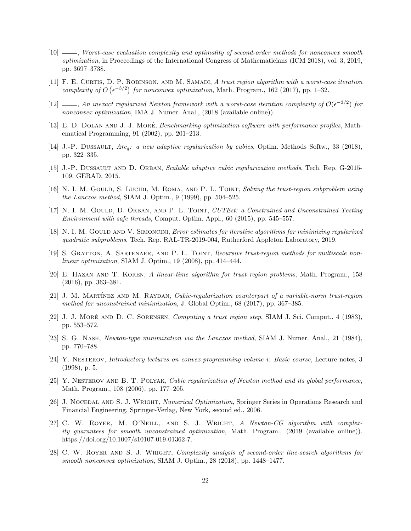- [10] , Worst-case evaluation complexity and optimality of second-order methods for nonconvex smooth optimization, in Proceedings of the International Congress of Mathematicians (ICM 2018), vol. 3, 2019, pp. 3697–3738.
- [11] F. E. Curtis, D. P. Robinson, and M. Samadi, A trust region algorithm with a worst-case iteration complexity of  $O\left(\epsilon^{-3/2}\right)$  for nonconvex optimization, Math. Program., 162 (2017), pp. 1–32.
- [12] —, An inexact regularized Newton framework with a worst-case iteration complexity of  $\mathcal{O}(\epsilon^{-3/2})$  for nonconvex optimization, IMA J. Numer. Anal., (2018 (available online)).
- [13] E. D. DOLAN AND J. J. MORÉ, Benchmarking optimization software with performance profiles, Mathematical Programming, 91 (2002), pp. 201–213.
- [14] J.-P. DUSSAULT, Arc<sub>a</sub>: a new adaptive regularization by cubics, Optim. Methods Softw., 33 (2018), pp. 322–335.
- [15] J.-P. Dussault and D. Orban, Scalable adaptive cubic regularization methods, Tech. Rep. G-2015- 109, GERAD, 2015.
- [16] N. I. M. GOULD, S. LUCIDI, M. ROMA, AND P. L. TOINT, Solving the trust-region subproblem using the Lanczos method, SIAM J. Optim., 9 (1999), pp. 504–525.
- [17] N. I. M. GOULD, D. ORBAN, AND P. L. TOINT, CUTEst: a Constrained and Unconstrained Testing Environment with safe threads, Comput. Optim. Appl., 60 (2015), pp. 545–557.
- [18] N. I. M. GOULD AND V. SIMONCINI, *Error estimates for iterative algorithms for minimizing regularized* quadratic subproblems, Tech. Rep. RAL-TR-2019-004, Rutherford Appleton Laboratory, 2019.
- [19] S. GRATTON, A. SARTENAER, AND P. L. TOINT, Recursive trust-region methods for multiscale nonlinear optimization, SIAM J. Optim., 19 (2008), pp. 414–444.
- [20] E. Hazan and T. Koren, A linear-time algorithm for trust region problems, Math. Program., 158 (2016), pp. 363–381.
- [21] J. M. MARTÍNEZ AND M. RAYDAN, Cubic-regularization counterpart of a variable-norm trust-region method for unconstrained minimization, J. Global Optim., 68 (2017), pp. 367–385.
- [22] J. J. MORÉ AND D. C. SORENSEN, *Computing a trust region step*, SIAM J. Sci. Comput., 4 (1983), pp. 553–572.
- [23] S. G. Nash, Newton-type minimization via the Lanczos method, SIAM J. Numer. Anal., 21 (1984), pp. 770–788.
- [24] Y. Nesterov, Introductory lectures on convex programming volume i: Basic course, Lecture notes, 3 (1998), p. 5.
- [25] Y. NESTEROV AND B. T. POLYAK, Cubic regularization of Newton method and its global performance, Math. Program., 108 (2006), pp. 177–205.
- [26] J. NOCEDAL AND S. J. WRIGHT, Numerical Optimization, Springer Series in Operations Research and Financial Engineering, Springer-Verlag, New York, second ed., 2006.
- [27] C. W. ROYER, M. O'NEILL, AND S. J. WRIGHT, A Newton-CG algorithm with complexity guarantees for smooth unconstrained optimization, Math. Program., (2019 (available online)). https://doi.org/10.1007/s10107-019-01362-7.
- [28] C. W. Royer and S. J. Wright, Complexity analysis of second-order line-search algorithms for smooth nonconvex optimization, SIAM J. Optim., 28 (2018), pp. 1448–1477.